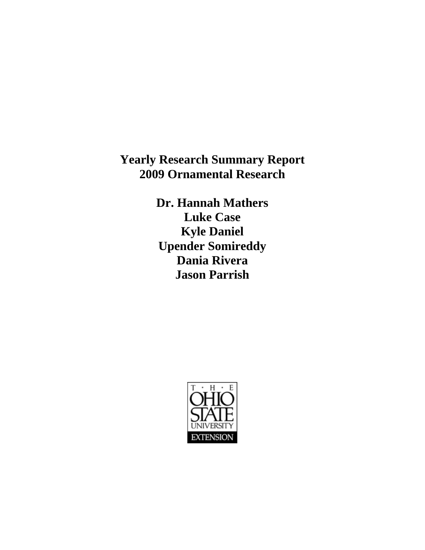**Yearly Research Summary Report 2009 Ornamental Research** 

> **Dr. Hannah Mathers Luke Case Kyle Daniel Upender Somireddy Dania Rivera Jason Parrish**

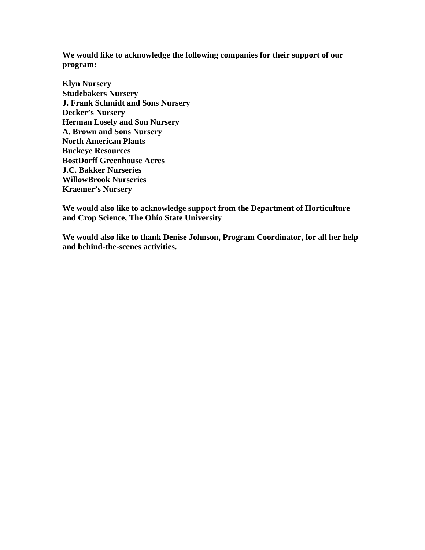**We would like to acknowledge the following companies for their support of our program:** 

**Klyn Nursery Studebakers Nursery J. Frank Schmidt and Sons Nursery Decker's Nursery Herman Losely and Son Nursery A. Brown and Sons Nursery North American Plants Buckeye Resources BostDorff Greenhouse Acres J.C. Bakker Nurseries WillowBrook Nurseries Kraemer's Nursery** 

**We would also like to acknowledge support from the Department of Horticulture and Crop Science, The Ohio State University** 

**We would also like to thank Denise Johnson, Program Coordinator, for all her help and behind-the-scenes activities.**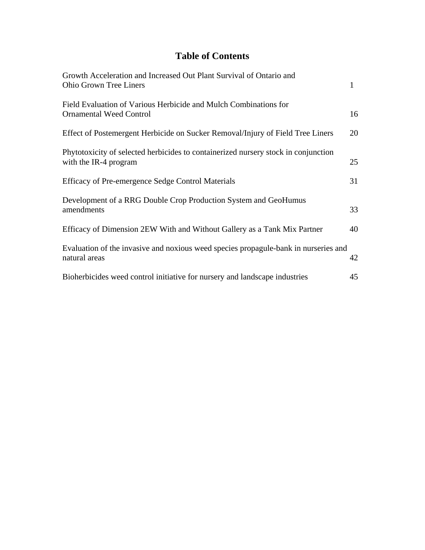# **Table of Contents**

| Growth Acceleration and Increased Out Plant Survival of Ontario and<br><b>Ohio Grown Tree Liners</b>        | $\mathbf{1}$ |
|-------------------------------------------------------------------------------------------------------------|--------------|
| Field Evaluation of Various Herbicide and Mulch Combinations for<br><b>Ornamental Weed Control</b>          | 16           |
| Effect of Postemergent Herbicide on Sucker Removal/Injury of Field Tree Liners                              | 20           |
| Phytotoxicity of selected herbicides to containerized nursery stock in conjunction<br>with the IR-4 program | 25           |
| Efficacy of Pre-emergence Sedge Control Materials                                                           | 31           |
| Development of a RRG Double Crop Production System and GeoHumus<br>amendments                               | 33           |
| Efficacy of Dimension 2EW With and Without Gallery as a Tank Mix Partner                                    | 40           |
| Evaluation of the invasive and noxious weed species propagule-bank in nurseries and<br>natural areas        | 42           |
| Bioherbicides weed control initiative for nursery and landscape industries                                  | 45           |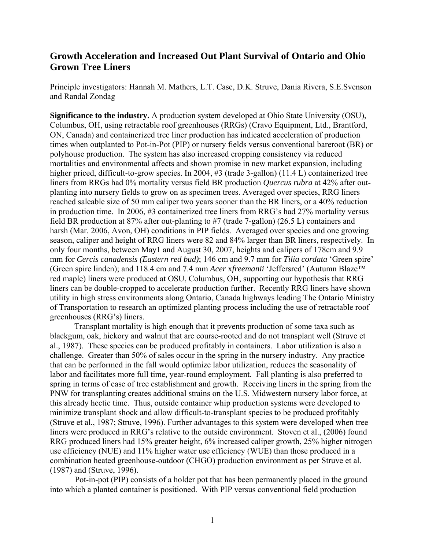## **Growth Acceleration and Increased Out Plant Survival of Ontario and Ohio Grown Tree Liners**

Principle investigators: Hannah M. Mathers, L.T. Case, D.K. Struve, Dania Rivera, S.E.Svenson and Randal Zondag

**Significance to the industry.** A production system developed at Ohio State University (OSU), Columbus, OH, using retractable roof greenhouses (RRGs) (Cravo Equipment, Ltd., Brantford, ON, Canada) and containerized tree liner production has indicated acceleration of production times when outplanted to Pot-in-Pot (PIP) or nursery fields versus conventional bareroot (BR) or polyhouse production. The system has also increased cropping consistency via reduced mortalities and environmental affects and shown promise in new market expansion, including higher priced, difficult-to-grow species. In 2004, #3 (trade 3-gallon) (11.4 L) containerized tree liners from RRGs had 0% mortality versus field BR production *Quercus rubra* at 42% after outplanting into nursery fields to grow on as specimen trees. Averaged over species, RRG liners reached saleable size of 50 mm caliper two years sooner than the BR liners, or a 40% reduction in production time. In 2006, #3 containerized tree liners from RRG's had 27% mortality versus field BR production at 87% after out-planting to #7 (trade 7-gallon) (26.5 L) containers and harsh (Mar. 2006, Avon, OH) conditions in PIP fields. Averaged over species and one growing season, caliper and height of RRG liners were 82 and 84% larger than BR liners, respectively. In only four months, between May1 and August 30, 2007, heights and calipers of 178cm and 9.9 mm for *Cercis canadensis (Eastern red bud)*; 146 cm and 9.7 mm for *Tilia cordata* 'Green spire' (Green spire linden); and 118.4 cm and 7.4 mm *Acer* x*freemanii* 'Jeffersred' (Autumn Blaze™ red maple) liners were produced at OSU, Columbus, OH, supporting our hypothesis that RRG liners can be double-cropped to accelerate production further. Recently RRG liners have shown utility in high stress environments along Ontario, Canada highways leading The Ontario Ministry of Transportation to research an optimized planting process including the use of retractable roof greenhouses (RRG's) liners.

Transplant mortality is high enough that it prevents production of some taxa such as blackgum, oak, hickory and walnut that are course-rooted and do not transplant well (Struve et al., 1987). These species can be produced profitably in containers. Labor utilization is also a challenge. Greater than 50% of sales occur in the spring in the nursery industry. Any practice that can be performed in the fall would optimize labor utilization, reduces the seasonality of labor and facilitates more full time, year-round employment. Fall planting is also preferred to spring in terms of ease of tree establishment and growth. Receiving liners in the spring from the PNW for transplanting creates additional strains on the U.S. Midwestern nursery labor force, at this already hectic time. Thus, outside container whip production systems were developed to minimize transplant shock and allow difficult-to-transplant species to be produced profitably (Struve et al., 1987; Struve, 1996). Further advantages to this system were developed when tree liners were produced in RRG's relative to the outside environment. Stoven et al., (2006) found RRG produced liners had 15% greater height, 6% increased caliper growth, 25% higher nitrogen use efficiency (NUE) and 11% higher water use efficiency (WUE) than those produced in a combination heated greenhouse-outdoor (CHGO) production environment as per Struve et al. (1987) and (Struve, 1996).

Pot-in-pot (PIP) consists of a holder pot that has been permanently placed in the ground into which a planted container is positioned. With PIP versus conventional field production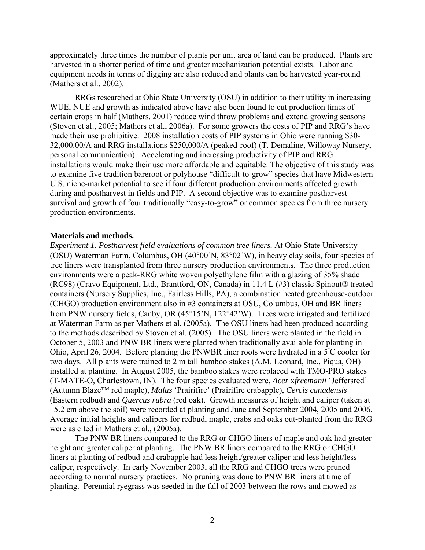approximately three times the number of plants per unit area of land can be produced. Plants are harvested in a shorter period of time and greater mechanization potential exists. Labor and equipment needs in terms of digging are also reduced and plants can be harvested year-round (Mathers et al., 2002).

RRGs researched at Ohio State University (OSU) in addition to their utility in increasing WUE, NUE and growth as indicated above have also been found to cut production times of certain crops in half (Mathers, 2001) reduce wind throw problems and extend growing seasons (Stoven et al., 2005; Mathers et al., 2006a). For some growers the costs of PIP and RRG's have made their use prohibitive. 2008 installation costs of PIP systems in Ohio were running \$30- 32,000.00/A and RRG installations \$250,000/A (peaked-roof) (T. Demaline, Willoway Nursery, personal communication). Accelerating and increasing productivity of PIP and RRG installations would make their use more affordable and equitable. The objective of this study was to examine five tradition bareroot or polyhouse "difficult-to-grow" species that have Midwestern U.S. niche-market potential to see if four different production environments affected growth during and postharvest in fields and PIP. A second objective was to examine postharvest survival and growth of four traditionally "easy-to-grow" or common species from three nursery production environments.

#### **Materials and methods.**

*Experiment 1. Postharvest field evaluations of common tree liners.* At Ohio State University (OSU) Waterman Farm, Columbus, OH (40°00'N, 83°02'W), in heavy clay soils, four species of tree liners were transplanted from three nursery production environments. The three production environments were a peak-RRG white woven polyethylene film with a glazing of 35% shade (RC98) (Cravo Equipment, Ltd., Brantford, ON, Canada) in 11.4 L (#3) classic Spinout® treated containers (Nursery Supplies, Inc., Fairless Hills, PA), a combination heated greenhouse-outdoor (CHGO) production environment also in #3 containers at OSU, Columbus, OH and BR liners from PNW nursery fields, Canby, OR (45°15'N, 122°42'W). Trees were irrigated and fertilized at Waterman Farm as per Mathers et al. (2005a). The OSU liners had been produced according to the methods described by Stoven et al. (2005). The OSU liners were planted in the field in October 5, 2003 and PNW BR liners were planted when traditionally available for planting in Ohio, April 26, 2004. Before planting the PNWBR liner roots were hydrated in a  $\bar{5}^{\circ}$ C cooler for two days. All plants were trained to 2 m tall bamboo stakes (A.M. Leonard, Inc., Piqua, OH) installed at planting. In August 2005, the bamboo stakes were replaced with TMO-PRO stakes (T-MATE-O, Charlestown, IN). The four species evaluated were, *Acer* x*freemanii* 'Jeffersred' (Autumn Blaze™ red maple), *Malus* 'Prairifire' (Prairifire crabapple), *Cercis canadensis*  (Eastern redbud) and *Quercus rubra* (red oak). Growth measures of height and caliper (taken at 15.2 cm above the soil) were recorded at planting and June and September 2004, 2005 and 2006. Average initial heights and calipers for redbud, maple, crabs and oaks out-planted from the RRG were as cited in Mathers et al., (2005a).

The PNW BR liners compared to the RRG or CHGO liners of maple and oak had greater height and greater caliper at planting. The PNW BR liners compared to the RRG or CHGO liners at planting of redbud and crabapple had less height/greater caliper and less height/less caliper, respectively. In early November 2003, all the RRG and CHGO trees were pruned according to normal nursery practices. No pruning was done to PNW BR liners at time of planting. Perennial ryegrass was seeded in the fall of 2003 between the rows and mowed as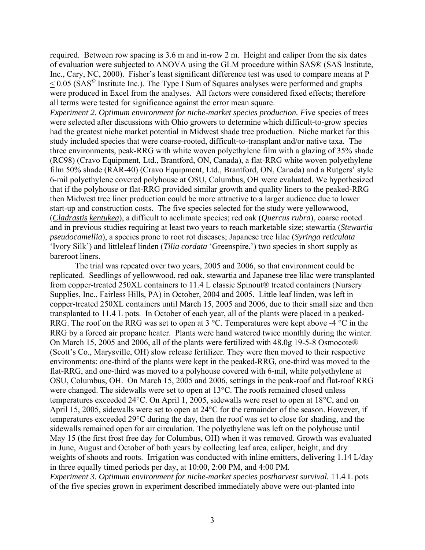required. Between row spacing is 3.6 m and in-row 2 m. Height and caliper from the six dates of evaluation were subjected to ANOVA using the GLM procedure within SAS® (SAS Institute, Inc., Cary, NC, 2000). Fisher's least significant difference test was used to compare means at P  $\sim$  0.05 (SAS<sup> $\circ$ </sup> Institute Inc.). The Type I Sum of Squares analyses were performed and graphs were produced in Excel from the analyses. All factors were considered fixed effects; therefore all terms were tested for significance against the error mean square.

*Experiment 2. Optimum environment for niche-market species production. F*ive species of trees were selected after discussions with Ohio growers to determine which difficult-to-grow species had the greatest niche market potential in Midwest shade tree production. Niche market for this study included species that were coarse-rooted, difficult-to-transplant and/or native taxa. The three environments, peak-RRG with white woven polyethylene film with a glazing of 35% shade (RC98) (Cravo Equipment, Ltd., Brantford, ON, Canada), a flat-RRG white woven polyethylene film 50% shade (RAR-40) (Cravo Equipment, Ltd., Brantford, ON, Canada) and a Rutgers' style 6-mil polyethylene covered polyhouse at OSU, Columbus, OH were evaluated. We hypothesized that if the polyhouse or flat-RRG provided similar growth and quality liners to the peaked-RRG then Midwest tree liner production could be more attractive to a larger audience due to lower start-up and construction costs. The five species selected for the study were yellowwood, (*Cladrastis kentukea*), a difficult to acclimate species; red oak (*Quercus rubra*), coarse rooted and in previous studies requiring at least two years to reach marketable size; stewartia (*Stewartia pseudocamellia*), a species prone to root rot diseases; Japanese tree lilac (*Syringa reticulata* 'Ivory Silk') and littleleaf linden (*Tilia cordata* 'Greenspire,') two species in short supply as bareroot liners.

The trial was repeated over two years, 2005 and 2006, so that environment could be replicated. Seedlings of yellowwood, red oak, stewartia and Japanese tree lilac were transplanted from copper-treated 250XL containers to 11.4 L classic Spinout® treated containers (Nursery Supplies, Inc., Fairless Hills, PA) in October, 2004 and 2005. Little leaf linden, was left in copper-treated 250XL containers until March 15, 2005 and 2006, due to their small size and then transplanted to 11.4 L pots. In October of each year, all of the plants were placed in a peaked-RRG. The roof on the RRG was set to open at 3 °C. Temperatures were kept above -4 °C in the RRG by a forced air propane heater. Plants were hand watered twice monthly during the winter. On March 15, 2005 and 2006, all of the plants were fertilized with 48.0g 19-5-8 Osmocote® (Scott's Co., Marysville, OH) slow release fertilizer. They were then moved to their respective environments: one-third of the plants were kept in the peaked-RRG, one-third was moved to the flat-RRG, and one-third was moved to a polyhouse covered with 6-mil, white polyethylene at OSU, Columbus, OH. On March 15, 2005 and 2006, settings in the peak-roof and flat-roof RRG were changed. The sidewalls were set to open at 13°C. The roofs remained closed unless temperatures exceeded 24°C. On April 1, 2005, sidewalls were reset to open at 18°C, and on April 15, 2005, sidewalls were set to open at 24°C for the remainder of the season. However, if temperatures exceeded 29°C during the day, then the roof was set to close for shading, and the sidewalls remained open for air circulation. The polyethylene was left on the polyhouse until May 15 (the first frost free day for Columbus, OH) when it was removed. Growth was evaluated in June, August and October of both years by collecting leaf area, caliper, height, and dry weights of shoots and roots. Irrigation was conducted with inline emitters, delivering 1.14 L/day in three equally timed periods per day, at 10:00, 2:00 PM, and 4:00 PM.

*Experiment 3. Optimum environment for niche-market species postharvest survival.* 11.4 L pots of the five species grown in experiment described immediately above were out-planted into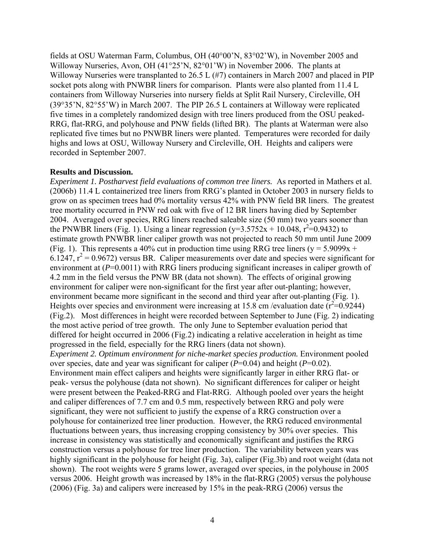fields at OSU Waterman Farm, Columbus, OH (40°00'N, 83°02'W), in November 2005 and Willoway Nurseries, Avon, OH (41°25'N, 82°01'W) in November 2006. The plants at Willoway Nurseries were transplanted to 26.5 L (#7) containers in March 2007 and placed in PIP socket pots along with PNWBR liners for comparison. Plants were also planted from 11.4 L containers from Willoway Nurseries into nursery fields at Split Rail Nursery, Circleville, OH (39°35'N, 82°55'W) in March 2007. The PIP 26.5 L containers at Willoway were replicated five times in a completely randomized design with tree liners produced from the OSU peaked-RRG, flat-RRG, and polyhouse and PNW fields (lifted BR). The plants at Waterman were also replicated five times but no PNWBR liners were planted. Temperatures were recorded for daily highs and lows at OSU, Willoway Nursery and Circleville, OH. Heights and calipers were recorded in September 2007.

#### **Results and Discussion.**

*Experiment 1. Postharvest field evaluations of common tree liners.* As reported in Mathers et al. (2006b) 11.4 L containerized tree liners from RRG's planted in October 2003 in nursery fields to grow on as specimen trees had 0% mortality versus 42% with PNW field BR liners. The greatest tree mortality occurred in PNW red oak with five of 12 BR liners having died by September 2004. Averaged over species, RRG liners reached saleable size (50 mm) two years sooner than the PNWBR liners (Fig. 1). Using a linear regression ( $y=3.5752x + 10.048$ ,  $r^2=0.9432$ ) to estimate growth PNWBR liner caliper growth was not projected to reach 50 mm until June 2009 (Fig. 1). This represents a 40% cut in production time using RRG tree liners ( $y = 5.9099x +$  $6.1247, r^2 = 0.9672$ ) versus BR. Caliper measurements over date and species were significant for environment at ( $P=0.0011$ ) with RRG liners producing significant increases in caliper growth of 4.2 mm in the field versus the PNW BR (data not shown). The effects of original growing environment for caliper were non-significant for the first year after out-planting; however, environment became more significant in the second and third year after out-planting (Fig. 1). Heights over species and environment were increasing at 15.8 cm /evaluation date  $(\vec{r}^2 = 0.9244)$ (Fig.2). Most differences in height were recorded between September to June (Fig. 2) indicating the most active period of tree growth. The only June to September evaluation period that differed for height occurred in 2006 (Fig.2) indicating a relative acceleration in height as time progressed in the field, especially for the RRG liners (data not shown). *Experiment 2. Optimum environment for niche-market species production.* Environment pooled over species, date and year was significant for caliper (*P*=0.04) and height (*P*=0.02). Environment main effect calipers and heights were significantly larger in either RRG flat- or peak- versus the polyhouse (data not shown). No significant differences for caliper or height were present between the Peaked-RRG and Flat-RRG. Although pooled over years the height and caliper differences of 7.7 cm and 0.5 mm, respectively between RRG and poly were significant, they were not sufficient to justify the expense of a RRG construction over a polyhouse for containerized tree liner production. However, the RRG reduced environmental fluctuations between years, thus increasing cropping consistency by 30% over species. This increase in consistency was statistically and economically significant and justifies the RRG construction versus a polyhouse for tree liner production. The variability between years was highly significant in the polyhouse for height (Fig. 3a), caliper (Fig. 3b) and root weight (data not shown). The root weights were 5 grams lower, averaged over species, in the polyhouse in 2005 versus 2006. Height growth was increased by 18% in the flat-RRG (2005) versus the polyhouse (2006) (Fig. 3a) and calipers were increased by 15% in the peak-RRG (2006) versus the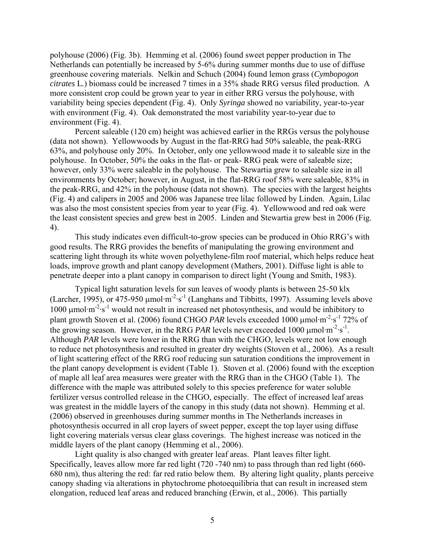polyhouse (2006) (Fig. 3b). Hemming et al. (2006) found sweet pepper production in The Netherlands can potentially be increased by 5-6% during summer months due to use of diffuse greenhouse covering materials. Nelkin and Schuch (2004) found lemon grass (*Cymbopogon citrates* L*.*) biomass could be increased 7 times in a 35% shade RRG versus filed production. A more consistent crop could be grown year to year in either RRG versus the polyhouse, with variability being species dependent (Fig. 4). Only *Syringa* showed no variability, year-to-year with environment (Fig. 4). Oak demonstrated the most variability year-to-year due to environment (Fig. 4).

Percent saleable (120 cm) height was achieved earlier in the RRGs versus the polyhouse (data not shown). Yellowwoods by August in the flat-RRG had 50% saleable, the peak-RRG 63%, and polyhouse only 20%. In October, only one yellowwood made it to saleable size in the polyhouse. In October, 50% the oaks in the flat- or peak- RRG peak were of saleable size; however, only 33% were saleable in the polyhouse. The Stewartia grew to saleable size in all environments by October; however, in August, in the flat-RRG roof 58% were saleable, 83% in the peak-RRG, and 42% in the polyhouse (data not shown). The species with the largest heights (Fig. 4) and calipers in 2005 and 2006 was Japanese tree lilac followed by Linden. Again, Lilac was also the most consistent species from year to year (Fig. 4). Yellowwood and red oak were the least consistent species and grew best in 2005. Linden and Stewartia grew best in 2006 (Fig. 4).

This study indicates even difficult-to-grow species can be produced in Ohio RRG's with good results. The RRG provides the benefits of manipulating the growing environment and scattering light through its white woven polyethylene-film roof material, which helps reduce heat loads, improve growth and plant canopy development (Mathers, 2001). Diffuse light is able to penetrate deeper into a plant canopy in comparison to direct light (Young and Smith, 1983).

Typical light saturation levels for sun leaves of woody plants is between 25-50 klx (Larcher, 1995), or 475-950  $\mu$ mol·m<sup>-2</sup>·s<sup>-1</sup> (Langhans and Tibbitts, 1997). Assuming levels above 1000 μmol·m<sup>-2</sup>·s<sup>-1</sup> would not result in increased net photosynthesis, and would be inhibitory to plant growth Stoven et al. (2006) found CHGO *PAR* levels exceeded 1000 μmol·m<sup>-2</sup>·s<sup>-1</sup> 72% of the growing season. However, in the RRG *PAR* levels never exceeded 1000  $\mu$ mol·m<sup>-2</sup>·s<sup>-1</sup>. Although *PAR* levels were lower in the RRG than with the CHGO, levels were not low enough to reduce net photosynthesis and resulted in greater dry weights (Stoven et al., 2006). As a result of light scattering effect of the RRG roof reducing sun saturation conditions the improvement in the plant canopy development is evident (Table 1). Stoven et al. (2006) found with the exception of maple all leaf area measures were greater with the RRG than in the CHGO (Table 1). The difference with the maple was attributed solely to this species preference for water soluble fertilizer versus controlled release in the CHGO, especially. The effect of increased leaf areas was greatest in the middle layers of the canopy in this study (data not shown). Hemming et al. (2006) observed in greenhouses during summer months in The Netherlands increases in photosynthesis occurred in all crop layers of sweet pepper, except the top layer using diffuse light covering materials versus clear glass coverings. The highest increase was noticed in the middle layers of the plant canopy (Hemming et al., 2006).

Light quality is also changed with greater leaf areas. Plant leaves filter light. Specifically, leaves allow more far red light (720 -740 nm) to pass through than red light (660- 680 nm), thus altering the red: far red ratio below them. By altering light quality, plants perceive canopy shading via alterations in phytochrome photoequilibria that can result in increased stem elongation, reduced leaf areas and reduced branching (Erwin, et al., 2006). This partially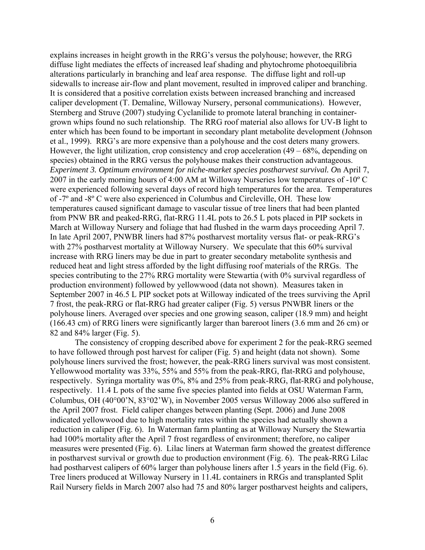explains increases in height growth in the RRG's versus the polyhouse; however, the RRG diffuse light mediates the effects of increased leaf shading and phytochrome photoequilibria alterations particularly in branching and leaf area response. The diffuse light and roll-up sidewalls to increase air-flow and plant movement, resulted in improved caliper and branching. It is considered that a positive correlation exists between increased branching and increased caliper development (T. Demaline, Willoway Nursery, personal communications). However, Sternberg and Struve (2007) studying Cyclanilide to promote lateral branching in containergrown whips found no such relationship. The RRG roof material also allows for UV-B light to enter which has been found to be important in secondary plant metabolite development (Johnson et al., 1999). RRG's are more expensive than a polyhouse and the cost deters many growers. However, the light utilization, crop consistency and crop acceleration  $(49 - 68\%$ , depending on species) obtained in the RRG versus the polyhouse makes their construction advantageous. *Experiment 3. Optimum environment for niche-market species postharvest survival. O*n April 7, 2007 in the early morning hours of 4:00 AM at Willoway Nurseries low temperatures of -10º C were experienced following several days of record high temperatures for the area. Temperatures of -7º and -8º C were also experienced in Columbus and Circleville, OH. These low temperatures caused significant damage to vascular tissue of tree liners that had been planted from PNW BR and peaked-RRG, flat-RRG 11.4L pots to 26.5 L pots placed in PIP sockets in March at Willoway Nursery and foliage that had flushed in the warm days proceeding April 7. In late April 2007, PNWBR liners had 87% postharvest mortality versus flat- or peak-RRG's with 27% postharvest mortality at Willoway Nursery. We speculate that this 60% survival increase with RRG liners may be due in part to greater secondary metabolite synthesis and reduced heat and light stress afforded by the light diffusing roof materials of the RRGs. The species contributing to the 27% RRG mortality were Stewartia (with 0% survival regardless of production environment) followed by yellowwood (data not shown). Measures taken in September 2007 in 46.5 L PIP socket pots at Willoway indicated of the trees surviving the April 7 frost, the peak-RRG or flat-RRG had greater caliper (Fig. 5) versus PNWBR liners or the polyhouse liners. Averaged over species and one growing season, caliper (18.9 mm) and height (166.43 cm) of RRG liners were significantly larger than bareroot liners (3.6 mm and 26 cm) or 82 and 84% larger (Fig. 5).

The consistency of cropping described above for experiment 2 for the peak-RRG seemed to have followed through post harvest for caliper (Fig. 5) and height (data not shown). Some polyhouse liners survived the frost; however, the peak-RRG liners survival was most consistent. Yellowwood mortality was 33%, 55% and 55% from the peak-RRG, flat-RRG and polyhouse, respectively. Syringa mortality was 0%, 8% and 25% from peak-RRG, flat-RRG and polyhouse, respectively. 11.4 L pots of the same five species planted into fields at OSU Waterman Farm, Columbus, OH (40°00'N, 83°02'W), in November 2005 versus Willoway 2006 also suffered in the April 2007 frost. Field caliper changes between planting (Sept. 2006) and June 2008 indicated yellowwood due to high mortality rates within the species had actually shown a reduction in caliper (Fig. 6). In Waterman farm planting as at Willoway Nursery the Stewartia had 100% mortality after the April 7 frost regardless of environment; therefore, no caliper measures were presented (Fig. 6). Lilac liners at Waterman farm showed the greatest difference in postharvest survival or growth due to production environment (Fig. 6). The peak-RRG Lilac had postharvest calipers of 60% larger than polyhouse liners after 1.5 years in the field (Fig. 6). Tree liners produced at Willoway Nursery in 11.4L containers in RRGs and transplanted Split Rail Nursery fields in March 2007 also had 75 and 80% larger postharvest heights and calipers,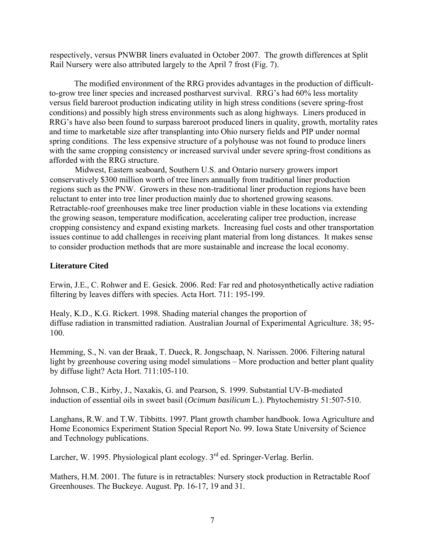respectively, versus PNWBR liners evaluated in October 2007. The growth differences at Split Rail Nursery were also attributed largely to the April 7 frost (Fig. 7).

The modified environment of the RRG provides advantages in the production of difficultto-grow tree liner species and increased postharvest survival. RRG's had 60% less mortality versus field bareroot production indicating utility in high stress conditions (severe spring-frost conditions) and possibly high stress environments such as along highways. Liners produced in RRG's have also been found to surpass bareroot produced liners in quality, growth, mortality rates and time to marketable size after transplanting into Ohio nursery fields and PIP under normal spring conditions. The less expensive structure of a polyhouse was not found to produce liners with the same cropping consistency or increased survival under severe spring-frost conditions as afforded with the RRG structure.

Midwest, Eastern seaboard, Southern U.S. and Ontario nursery growers import conservatively \$300 million worth of tree liners annually from traditional liner production regions such as the PNW. Growers in these non-traditional liner production regions have been reluctant to enter into tree liner production mainly due to shortened growing seasons. Retractable-roof greenhouses make tree liner production viable in these locations via extending the growing season, temperature modification, accelerating caliper tree production, increase cropping consistency and expand existing markets. Increasing fuel costs and other transportation issues continue to add challenges in receiving plant material from long distances. It makes sense to consider production methods that are more sustainable and increase the local economy.

### **Literature Cited**

Erwin, J.E., C. Rohwer and E. Gesick. 2006. Red: Far red and photosynthetically active radiation filtering by leaves differs with species. Acta Hort. 711: 195-199.

Healy, K.D., K.G. Rickert. 1998. Shading material changes the proportion of diffuse radiation in transmitted radiation. Australian Journal of Experimental Agriculture. 38; 95- 100.

Hemming, S., N. van der Braak, T. Dueck, R. Jongschaap, N. Narissen. 2006. Filtering natural light by greenhouse covering using model simulations – More production and better plant quality by diffuse light? Acta Hort. 711:105-110.

Johnson, C.B., Kirby, J., Naxakis, G. and Pearson, S. 1999. Substantial UV-B-mediated induction of essential oils in sweet basil (*Ocimum basilicum* L.). Phytochemistry 51:507-510.

Langhans, R.W. and T.W. Tibbitts. 1997. Plant growth chamber handbook. Iowa Agriculture and Home Economics Experiment Station Special Report No. 99. Iowa State University of Science and Technology publications.

Larcher, W. 1995. Physiological plant ecology. 3<sup>rd</sup> ed. Springer-Verlag. Berlin.

Mathers, H.M. 2001. The future is in retractables: Nursery stock production in Retractable Roof Greenhouses. The Buckeye. August. Pp. 16-17, 19 and 31.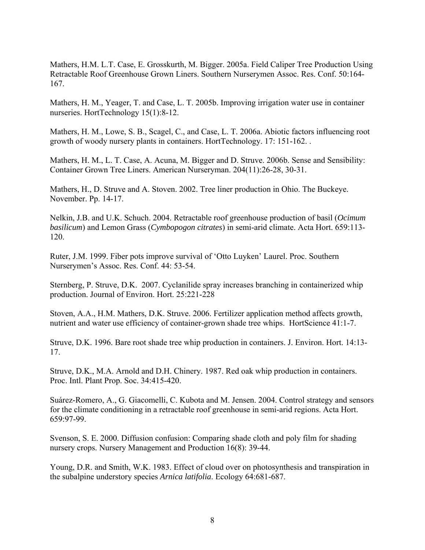Mathers, H.M. L.T. Case, E. Grosskurth, M. Bigger. 2005a. Field Caliper Tree Production Using Retractable Roof Greenhouse Grown Liners. Southern Nurserymen Assoc. Res. Conf. 50:164- 167.

Mathers, H. M., Yeager, T. and Case, L. T. 2005b. Improving irrigation water use in container nurseries. HortTechnology 15(1):8-12.

Mathers, H. M., Lowe, S. B., Scagel, C., and Case, L. T. 2006a. Abiotic factors influencing root growth of woody nursery plants in containers. HortTechnology. 17: 151-162. .

Mathers, H. M., L. T. Case, A. Acuna, M. Bigger and D. Struve. 2006b. Sense and Sensibility: Container Grown Tree Liners. American Nurseryman. 204(11):26-28, 30-31.

Mathers, H., D. Struve and A. Stoven. 2002. Tree liner production in Ohio. The Buckeye. November. Pp. 14-17.

Nelkin, J.B. and U.K. Schuch. 2004. Retractable roof greenhouse production of basil (*Ocimum basilicum*) and Lemon Grass (*Cymbopogon citrates*) in semi-arid climate. Acta Hort. 659:113- 120.

Ruter, J.M. 1999. Fiber pots improve survival of 'Otto Luyken' Laurel. Proc. Southern Nurserymen's Assoc. Res. Conf. 44: 53-54.

Sternberg, P. Struve, D.K. 2007. Cyclanilide spray increases branching in containerized whip production. Journal of Environ. Hort. 25:221-228

Stoven, A.A., H.M. Mathers, D.K. Struve. 2006. Fertilizer application method affects growth, nutrient and water use efficiency of container-grown shade tree whips. HortScience 41:1-7.

Struve, D.K. 1996. Bare root shade tree whip production in containers. J. Environ. Hort. 14:13- 17.

Struve, D.K., M.A. Arnold and D.H. Chinery. 1987. Red oak whip production in containers. Proc. Intl. Plant Prop. Soc. 34:415-420.

Suárez-Romero, A., G. Giacomelli, C. Kubota and M. Jensen. 2004. Control strategy and sensors for the climate conditioning in a retractable roof greenhouse in semi-arid regions. Acta Hort. 659:97-99.

Svenson, S. E. 2000. Diffusion confusion: Comparing shade cloth and poly film for shading nursery crops. Nursery Management and Production 16(8): 39-44.

Young, D.R. and Smith, W.K. 1983. Effect of cloud over on photosynthesis and transpiration in the subalpine understory species *Arnica latifolia*. Ecology 64:681-687.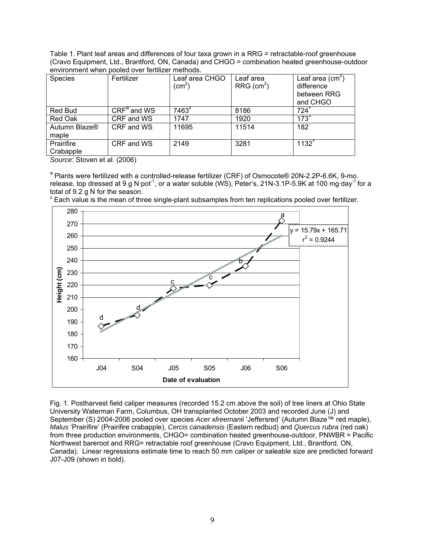Table 1. Plant leaf areas and differences of four taxa grown in a RRG = retractable-roof greenhouse (Cravo Equipment, Ltd., Brantford, ON, Canada) and CHGO = combination heated greenhouse-outdoor environment when pooled over fertilizer methods.

| <b>Species</b>                     | Fertilizer    | Leaf area CHGO<br>(cm $^2)$ | Leaf area<br>$RRG$ (cm <sup>2</sup> ) | Leaf area $(cm2)$<br>difference<br>between RRG<br>and CHGO |
|------------------------------------|---------------|-----------------------------|---------------------------------------|------------------------------------------------------------|
| <b>Red Bud</b>                     | $CRFw$ and WS | 7463 <sup>x</sup>           | 8186                                  | $724^{\degree}$                                            |
| Red Oak                            | CRF and WS    | 1747                        | 1920                                  | $173$ <sup>-</sup>                                         |
| Autumn Blaze <sup>®</sup><br>maple | CRF and WS    | 11695                       | 11514                                 | 182                                                        |
| Prairifire<br>Crabapple            | CRF and WS    | 2149                        | 3281                                  | $1132^{+}$                                                 |

*Source*: Stoven et al. (2006)

w Plants were fertilized with a controlled-release fertilizer (CRF) of Osmocote® 20N-2.2P-6.6K, 9-mo. release, top dressed at 9 g N·pot<sup>-1</sup>, or a water soluble (WS), Peter's, 21N-3.1P-5.9K at 100 mg·day<sup>-1</sup> for a total of 9.2 g N for the season.



<sup>x</sup> Each value is the mean of three single-plant subsamples from ten replications pooled over fertilizer.

Fig. 1. Postharvest field caliper measures (recorded 15.2 cm above the soil) of tree liners at Ohio State University Waterman Farm, Columbus, OH transplanted October 2003 and recorded June (J) and September (S) 2004-2006 pooled over species *Acer* x*freemanii* 'Jeffersred' (Autumn Blaze™ red maple), *Malus* 'Prairifire' (Prairifire crabapple), *Cercis canadensis* (Eastern redbud) and *Quercus rubra* (red oak) from three production environments, CHGO= combination heated greenhouse-outdoor, PNWBR = Pacific Northwest bareroot and RRG= retractable roof greenhouse (Cravo Equipment, Ltd., Brantford, ON, Canada). Linear regressions estimate time to reach 50 mm caliper or saleable size are predicted forward J07-J09 (shown in bold).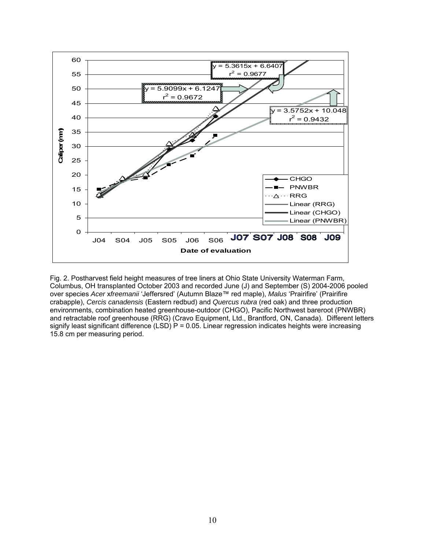

Fig. 2. Postharvest field height measures of tree liners at Ohio State University Waterman Farm, Columbus, OH transplanted October 2003 and recorded June (J) and September (S) 2004-2006 pooled over species *Acer* x*freemanii* 'Jeffersred' (Autumn Blaze™ red maple), *Malus* 'Prairifire' (Prairifire crabapple), *Cercis canadensis* (Eastern redbud) and *Quercus rubra* (red oak) and three production environments, combination heated greenhouse-outdoor (CHGO), Pacific Northwest bareroot (PNWBR) and retractable roof greenhouse (RRG) (Cravo Equipment, Ltd., Brantford, ON, Canada). Different letters signify least significant difference  $(LSD)$  P = 0.05. Linear regression indicates heights were increasing 15.8 cm per measuring period.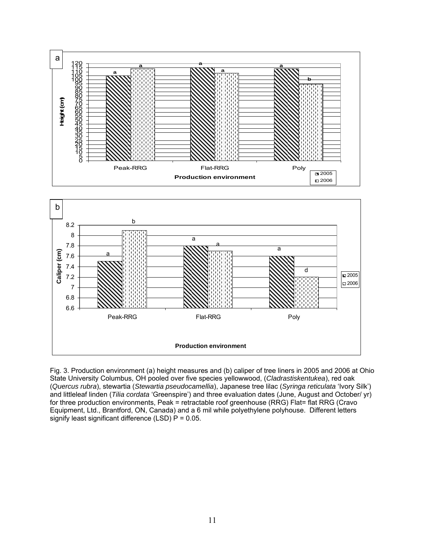



Fig. 3. Production environment (a) height measures and (b) caliper of tree liners in 2005 and 2006 at Ohio State University Columbus, OH pooled over five species yellowwood, (*Cladrastiskentukea*), red oak (*Quercus rubra*), stewartia (*Stewartia pseudocamellia*), Japanese tree lilac (*Syringa reticulata* 'Ivory Silk') and littleleaf linden (*Tilia cordata* 'Greenspire') and three evaluation dates (June, August and October/ yr) for three production environments, Peak = retractable roof greenhouse (RRG) Flat= flat RRG (Cravo Equipment, Ltd., Brantford, ON, Canada) and a 6 mil while polyethylene polyhouse. Different letters signify least significant difference (LSD)  $P = 0.05$ .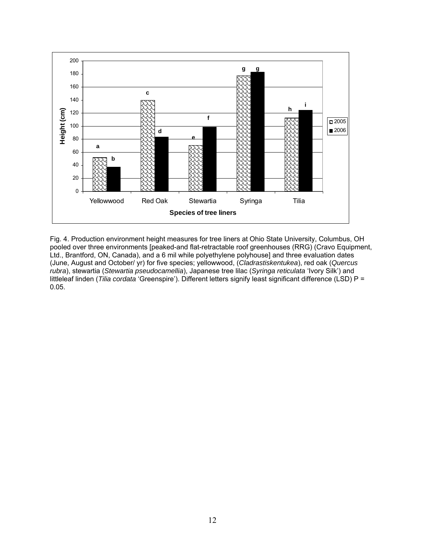

Fig. 4. Production environment height measures for tree liners at Ohio State University, Columbus, OH pooled over three environments [peaked-and flat-retractable roof greenhouses (RRG) (Cravo Equipment, Ltd., Brantford, ON, Canada), and a 6 mil while polyethylene polyhouse] and three evaluation dates (June, August and October/ yr) for five species; yellowwood, (*Cladrastiskentukea*), red oak (*Quercus rubra*), stewartia (*Stewartia pseudocamellia*), Japanese tree lilac (*Syringa reticulata* 'Ivory Silk') and littleleaf linden (*Tilia cordata* 'Greenspire'). Different letters signify least significant difference (LSD) P = 0.05.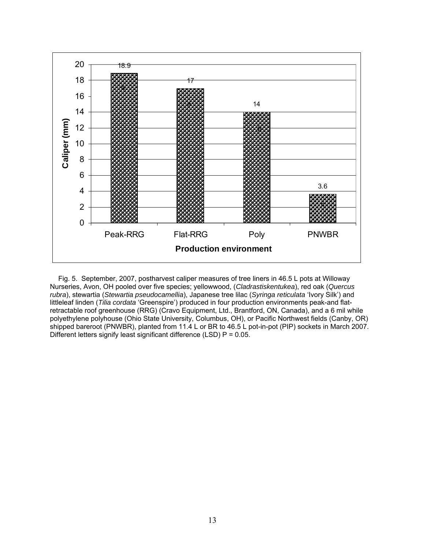

 Fig. 5. September, 2007, postharvest caliper measures of tree liners in 46.5 L pots at Willoway Nurseries, Avon, OH pooled over five species; yellowwood, (*Cladrastiskentukea*), red oak (*Quercus rubra*), stewartia (*Stewartia pseudocamellia*), Japanese tree lilac (*Syringa reticulata* 'Ivory Silk') and littleleaf linden (*Tilia cordata* 'Greenspire') produced in four production environments peak-and flatretractable roof greenhouse (RRG) (Cravo Equipment, Ltd., Brantford, ON, Canada), and a 6 mil while polyethylene polyhouse (Ohio State University, Columbus, OH), or Pacific Northwest fields (Canby, OR) shipped bareroot (PNWBR), planted from 11.4 L or BR to 46.5 L pot-in-pot (PIP) sockets in March 2007. Different letters signify least significant difference (LSD) P = 0.05.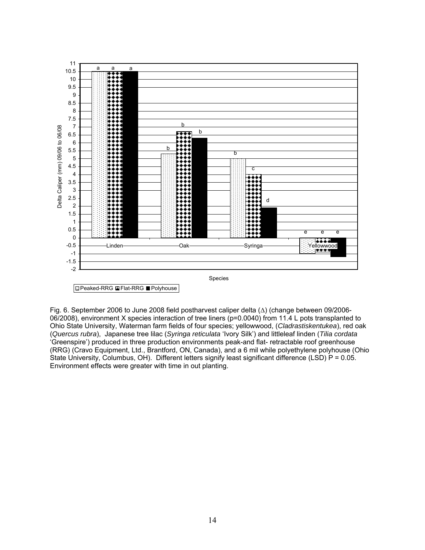

Fig. 6. September 2006 to June 2008 field postharvest caliper delta (∆) (change between 09/2006- 06/2008), environment X species interaction of tree liners (p=0.0040) from 11.4 L pots transplanted to Ohio State University, Waterman farm fields of four species; yellowwood, (*Cladrastiskentukea*), red oak (*Quercus rubra*), Japanese tree lilac (*Syringa reticulata* 'Ivory Silk') and littleleaf linden (*Tilia cordata* 'Greenspire') produced in three production environments peak-and flat- retractable roof greenhouse (RRG) (Cravo Equipment, Ltd., Brantford, ON, Canada), and a 6 mil while polyethylene polyhouse (Ohio State University, Columbus, OH). Different letters signify least significant difference (LSD)  $P = 0.05$ . Environment effects were greater with time in out planting.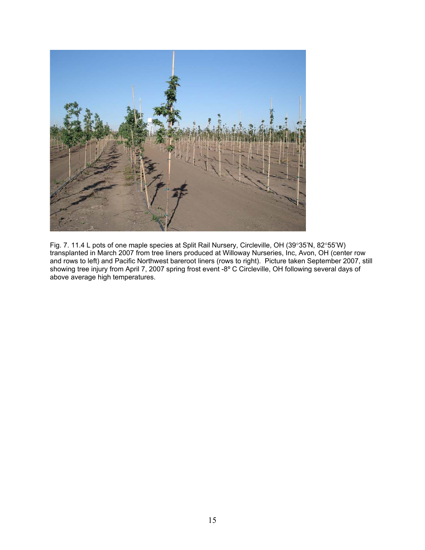

Fig. 7. 11.4 L pots of one maple species at Split Rail Nursery, Circleville, OH (39°35'N, 82°55'W) transplanted in March 2007 from tree liners produced at Willoway Nurseries, Inc, Avon, OH (center row and rows to left) and Pacific Northwest bareroot liners (rows to right). Picture taken September 2007, still showing tree injury from April 7, 2007 spring frost event -8° C Circleville, OH following several days of above average high temperatures.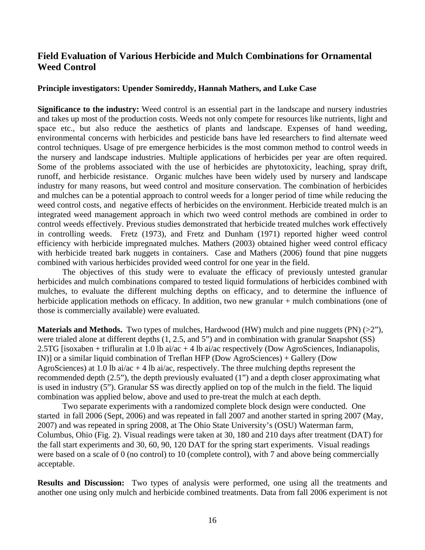## **Field Evaluation of Various Herbicide and Mulch Combinations for Ornamental Weed Control**

#### **Principle investigators: Upender Somireddy, Hannah Mathers, and Luke Case**

**Significance to the industry:** Weed control is an essential part in the landscape and nursery industries and takes up most of the production costs. Weeds not only compete for resources like nutrients, light and space etc., but also reduce the aesthetics of plants and landscape. Expenses of hand weeding, environmental concerns with herbicides and pesticide bans have led researchers to find alternate weed control techniques. Usage of pre emergence herbicides is the most common method to control weeds in the nursery and landscape industries. Multiple applications of herbicides per year are often required. Some of the problems associated with the use of herbicides are phytotoxicity, leaching, spray drift, runoff, and herbicide resistance. Organic mulches have been widely used by nursery and landscape industry for many reasons, but weed control and mositure conservation. The combination of herbicides and mulches can be a potential approach to control weeds for a longer period of time while reducing the weed control costs, and negative effects of herbicides on the environment. Herbicide treated mulch is an integrated weed management approach in which two weed control methods are combined in order to control weeds effectively. Previous studies demonstrated that herbicide treated mulches work effectively in controlling weeds. Fretz (1973), and Fretz and Dunham (1971) reported higher weed control efficiency with herbicide impregnated mulches. Mathers (2003) obtained higher weed control efficacy with herbicide treated bark nuggets in containers. Case and Mathers (2006) found that pine nuggets combined with various herbicides provided weed control for one year in the field.

The objectives of this study were to evaluate the efficacy of previously untested granular herbicides and mulch combinations compared to tested liquid formulations of herbicides combined with mulches, to evaluate the different mulching depths on efficacy, and to determine the influence of herbicide application methods on efficacy. In addition, two new granular + mulch combinations (one of those is commercially available) were evaluated.

**Materials and Methods.** Two types of mulches, Hardwood (HW) mulch and pine nuggets (PN) (>2"), were trialed alone at different depths (1, 2.5, and 5") and in combination with granular Snapshot (SS) 2.5TG [isoxaben + trifluralin at 1.0 lb ai/ac + 4 lb ai/ac respectively (Dow AgroSciences, Indianapolis, IN)] or a similar liquid combination of Treflan HFP (Dow AgroSciences) + Gallery (Dow AgroSciences) at 1.0 lb ai/ac + 4 lb ai/ac, respectively. The three mulching depths represent the recommended depth (2.5"), the depth previously evaluated (1") and a depth closer approximating what is used in industry (5"). Granular SS was directly applied on top of the mulch in the field. The liquid combination was applied below, above and used to pre-treat the mulch at each depth.

Two separate experiments with a randomized complete block design were conducted. One started in fall 2006 (Sept, 2006) and was repeated in fall 2007 and another started in spring 2007 (May, 2007) and was repeated in spring 2008, at The Ohio State University's (OSU) Waterman farm, Columbus, Ohio (Fig. 2). Visual readings were taken at 30, 180 and 210 days after treatment (DAT) for the fall start experiments and 30, 60, 90, 120 DAT for the spring start experiments. Visual readings were based on a scale of 0 (no control) to 10 (complete control), with 7 and above being commercially acceptable.

**Results and Discussion:** Two types of analysis were performed, one using all the treatments and another one using only mulch and herbicide combined treatments. Data from fall 2006 experiment is not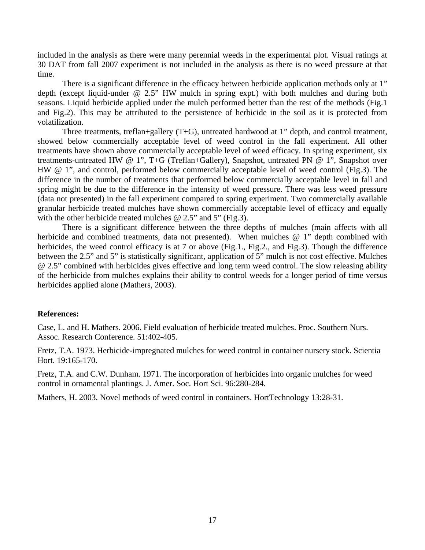included in the analysis as there were many perennial weeds in the experimental plot. Visual ratings at 30 DAT from fall 2007 experiment is not included in the analysis as there is no weed pressure at that time.

There is a significant difference in the efficacy between herbicide application methods only at 1" depth (except liquid-under @ 2.5" HW mulch in spring expt.) with both mulches and during both seasons. Liquid herbicide applied under the mulch performed better than the rest of the methods (Fig.1 and Fig.2). This may be attributed to the persistence of herbicide in the soil as it is protected from volatilization.

Three treatments, treflan+gallery (T+G), untreated hardwood at 1" depth, and control treatment, showed below commercially acceptable level of weed control in the fall experiment. All other treatments have shown above commercially acceptable level of weed efficacy. In spring experiment, six treatments-untreated HW @ 1", T+G (Treflan+Gallery), Snapshot, untreated PN @ 1", Snapshot over HW @ 1", and control, performed below commercially acceptable level of weed control (Fig.3). The difference in the number of treatments that performed below commercially acceptable level in fall and spring might be due to the difference in the intensity of weed pressure. There was less weed pressure (data not presented) in the fall experiment compared to spring experiment. Two commercially available granular herbicide treated mulches have shown commercially acceptable level of efficacy and equally with the other herbicide treated mulches @ 2.5" and 5" (Fig.3).

There is a significant difference between the three depths of mulches (main affects with all herbicide and combined treatments, data not presented). When mulches @ 1" depth combined with herbicides, the weed control efficacy is at 7 or above (Fig.1., Fig.2., and Fig.3). Though the difference between the 2.5" and 5" is statistically significant, application of 5" mulch is not cost effective. Mulches @ 2.5" combined with herbicides gives effective and long term weed control. The slow releasing ability of the herbicide from mulches explains their ability to control weeds for a longer period of time versus herbicides applied alone (Mathers, 2003).

#### **References:**

Case, L. and H. Mathers. 2006. Field evaluation of herbicide treated mulches. Proc. Southern Nurs. Assoc. Research Conference. 51:402-405.

Fretz, T.A. 1973. Herbicide-impregnated mulches for weed control in container nursery stock. Scientia Hort. 19:165-170.

Fretz, T.A. and C.W. Dunham. 1971. The incorporation of herbicides into organic mulches for weed control in ornamental plantings. J. Amer. Soc. Hort Sci. 96:280-284.

Mathers, H. 2003. Novel methods of weed control in containers. HortTechnology 13:28-31.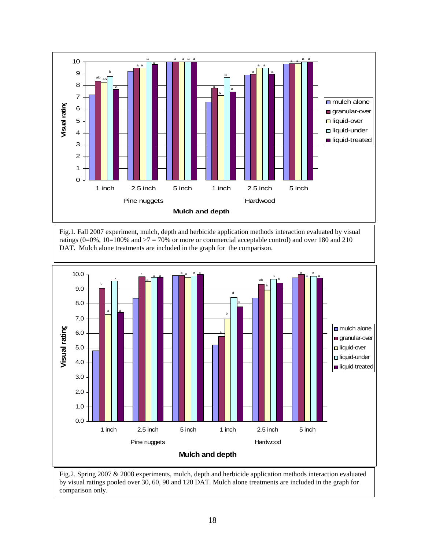

Fig.1. Fall 2007 experiment, mulch, depth and herbicide application methods interaction evaluated by visual ratings (0=0%, 10=100% and  $\geq$ 7 = 70% or more or commercial acceptable control) and over 180 and 210 DAT. Mulch alone treatments are included in the graph for the comparison.



Fig.2. Spring 2007 & 2008 experiments, mulch, depth and herbicide application methods interaction evaluated by visual ratings pooled over 30, 60, 90 and 120 DAT. Mulch alone treatments are included in the graph for comparison only.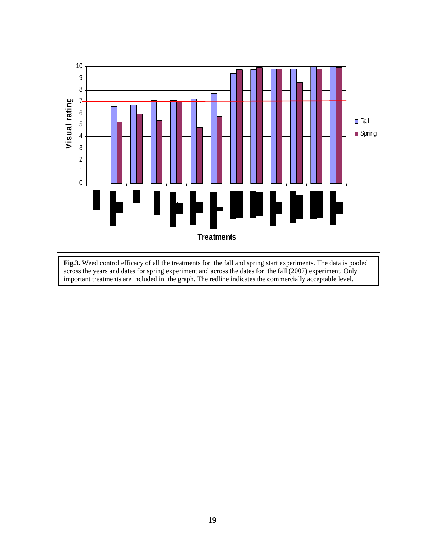

**Fig.3.** Weed control efficacy of all the treatments for the fall and spring start experiments. The data is pooled across the years and dates for spring experiment and across the dates for the fall (2007) experiment. Only important treatments are included in the graph. The redline indicates the commercially acceptable level.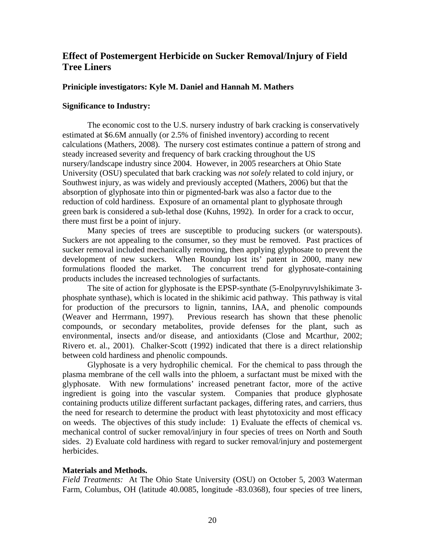## **Effect of Postemergent Herbicide on Sucker Removal/Injury of Field Tree Liners**

#### **Priniciple investigators: Kyle M. Daniel and Hannah M. Mathers**

#### **Significance to Industry:**

The economic cost to the U.S. nursery industry of bark cracking is conservatively estimated at \$6.6M annually (or 2.5% of finished inventory) according to recent calculations (Mathers, 2008). The nursery cost estimates continue a pattern of strong and steady increased severity and frequency of bark cracking throughout the US nursery/landscape industry since 2004. However, in 2005 researchers at Ohio State University (OSU) speculated that bark cracking was *not solely* related to cold injury, or Southwest injury, as was widely and previously accepted (Mathers, 2006) but that the absorption of glyphosate into thin or pigmented-bark was also a factor due to the reduction of cold hardiness. Exposure of an ornamental plant to glyphosate through green bark is considered a sub-lethal dose (Kuhns, 1992). In order for a crack to occur, there must first be a point of injury.

Many species of trees are susceptible to producing suckers (or waterspouts). Suckers are not appealing to the consumer, so they must be removed. Past practices of sucker removal included mechanically removing, then applying glyphosate to prevent the development of new suckers. When Roundup lost its' patent in 2000, many new formulations flooded the market. The concurrent trend for glyphosate-containing products includes the increased technologies of surfactants.

 The site of action for glyphosate is the EPSP-synthate (5-Enolpyruvylshikimate 3 phosphate synthase), which is located in the shikimic acid pathway. This pathway is vital for production of the precursors to lignin, tannins, IAA, and phenolic compounds (Weaver and Herrmann, 1997). Previous research has shown that these phenolic compounds, or secondary metabolites, provide defenses for the plant, such as environmental, insects and/or disease, and antioxidants (Close and Mcarthur, 2002; Rivero et. al., 2001). Chalker-Scott (1992) indicated that there is a direct relationship between cold hardiness and phenolic compounds.

Glyphosate is a very hydrophilic chemical. For the chemical to pass through the plasma membrane of the cell walls into the phloem, a surfactant must be mixed with the glyphosate. With new formulations' increased penetrant factor, more of the active ingredient is going into the vascular system. Companies that produce glyphosate containing products utilize different surfactant packages, differing rates, and carriers, thus the need for research to determine the product with least phytotoxicity and most efficacy on weeds. The objectives of this study include: 1) Evaluate the effects of chemical vs. mechanical control of sucker removal/injury in four species of trees on North and South sides. 2) Evaluate cold hardiness with regard to sucker removal/injury and postemergent herbicides.

#### **Materials and Methods.**

*Field Treatments:* At The Ohio State University (OSU) on October 5, 2003 Waterman Farm, Columbus, OH (latitude 40.0085, longitude -83.0368), four species of tree liners,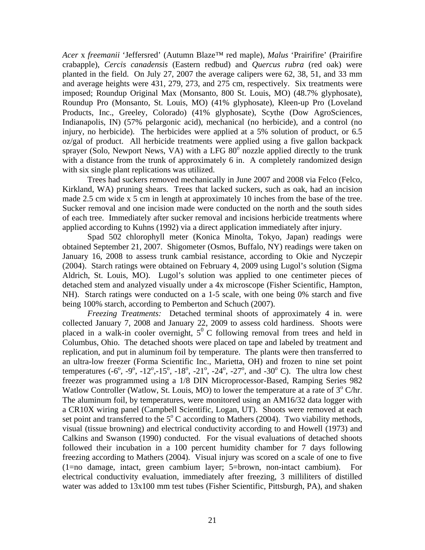*Acer* x *freemanii* 'Jeffersred' (Autumn Blaze™ red maple), *Malus* 'Prairifire' (Prairifire crabapple), *Cercis canadensis* (Eastern redbud) and *Quercus rubra* (red oak) were planted in the field. On July 27, 2007 the average calipers were 62, 38, 51, and 33 mm and average heights were 431, 279, 273, and 275 cm, respectively. Six treatments were imposed; Roundup Original Max (Monsanto, 800 St. Louis, MO) (48.7% glyphosate), Roundup Pro (Monsanto, St. Louis, MO) (41% glyphosate), Kleen-up Pro (Loveland Products, Inc., Greeley, Colorado) (41% glyphosate), Scythe (Dow AgroSciences, Indianapolis, IN) (57% pelargonic acid), mechanical (no herbicide), and a control (no injury, no herbicide). The herbicides were applied at a 5% solution of product, or 6.5 oz/gal of product. All herbicide treatments were applied using a five gallon backpack sprayer (Solo, Newport News, VA) with a LFG  $80^\circ$  nozzle applied directly to the trunk with a distance from the trunk of approximately 6 in. A completely randomized design with six single plant replications was utilized.

Trees had suckers removed mechanically in June 2007 and 2008 via Felco (Felco, Kirkland, WA) pruning shears. Trees that lacked suckers, such as oak, had an incision made 2.5 cm wide x 5 cm in length at approximately 10 inches from the base of the tree. Sucker removal and one incision made were conducted on the north and the south sides of each tree. Immediately after sucker removal and incisions herbicide treatments where applied according to Kuhns (1992) via a direct application immediately after injury.

Spad 502 chlorophyll meter (Konica Minolta, Tokyo, Japan) readings were obtained September 21, 2007. Shigometer (Osmos, Buffalo, NY) readings were taken on January 16, 2008 to assess trunk cambial resistance, according to Okie and Nyczepir (2004). Starch ratings were obtained on February 4, 2009 using Lugol's solution (Sigma Aldrich, St. Louis, MO). Lugol's solution was applied to one centimeter pieces of detached stem and analyzed visually under a 4x microscope (Fisher Scientific, Hampton, NH). Starch ratings were conducted on a 1-5 scale, with one being 0% starch and five being 100% starch, according to Pemberton and Schuch (2007).

*Freezing Treatments:* Detached terminal shoots of approximately 4 in. were collected January 7, 2008 and January 22, 2009 to assess cold hardiness. Shoots were placed in a walk-in cooler overnight,  $5^{\circ}$  C following removal from trees and held in Columbus, Ohio. The detached shoots were placed on tape and labeled by treatment and replication, and put in aluminum foil by temperature. The plants were then transferred to an ultra-low freezer (Forma Scientific Inc., Marietta, OH) and frozen to nine set point temperatures  $(-6^{\circ}, -9^{\circ}, -12^{\circ}, -15^{\circ}, -18^{\circ}, -21^{\circ}, -24^{\circ}, -27^{\circ},$  and  $-30^{\circ}$  C). The ultra low chest freezer was programmed using a 1/8 DIN Microprocessor-Based, Ramping Series 982 Watlow Controller (Watlow, St. Louis, MO) to lower the temperature at a rate of 3<sup>°</sup> C/hr. The aluminum foil, by temperatures, were monitored using an AM16/32 data logger with a CR10X wiring panel (Campbell Scientific, Logan, UT). Shoots were removed at each set point and transferred to the  $5^{\circ}$  C according to Mathers (2004). Two viability methods, visual (tissue browning) and electrical conductivity according to and Howell (1973) and Calkins and Swanson (1990) conducted. For the visual evaluations of detached shoots followed their incubation in a 100 percent humidity chamber for 7 days following freezing according to Mathers (2004). Visual injury was scored on a scale of one to five (1=no damage, intact, green cambium layer; 5=brown, non-intact cambium). For electrical conductivity evaluation, immediately after freezing, 3 milliliters of distilled water was added to 13x100 mm test tubes (Fisher Scientific, Pittsburgh, PA), and shaken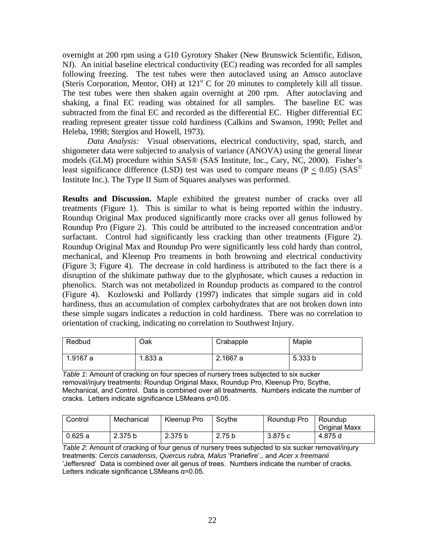overnight at 200 rpm using a G10 Gyrotory Shaker (New Brunswick Scientific, Edison, NJ). An initial baseline electrical conductivity (EC) reading was recorded for all samples following freezing. The test tubes were then autoclaved using an Amsco autoclave (Steris Corporation, Mentor, OH) at  $121^\circ$  C for 20 minutes to completely kill all tissue. The test tubes were then shaken again overnight at 200 rpm. After autoclaving and shaking, a final EC reading was obtained for all samples. The baseline EC was subtracted from the final EC and recorded as the differential EC. Higher differential EC reading represent greater tissue cold hardiness (Calkins and Swanson, 1990; Pellet and Heleba, 1998; Stergios and Howell, 1973).

*Data Analysis:* Visual observations, electrical conductivity, spad, starch, and shigometer data were subjected to analysis of variance (ANOVA) using the general linear models (GLM) procedure within SAS® (SAS Institute, Inc., Cary, NC, 2000). Fisher's least significance difference (LSD) test was used to compare means ( $P \le 0.05$ ) (SAS<sup>©</sup> Institute Inc.). The Type II Sum of Squares analyses was performed.

**Results and Discussion.** Maple exhibited the greatest number of cracks over all treatments (Figure 1). This is similar to what is being reported within the industry. Roundup Original Max produced significantly more cracks over all genus followed by Roundup Pro (Figure 2). This could be attributed to the increased concentration and/or surfactant. Control had significantly less cracking than other treatments (Figure 2). Roundup Original Max and Roundup Pro were significantly less cold hardy than control, mechanical, and Kleenup Pro treaments in both browning and electrical conductivity (Figure 3; Figure 4). The decrease in cold hardiness is attributed to the fact there is a disruption of the shikimate pathway due to the glyphosate, which causes a reduction in phenolics. Starch was not metabolized in Roundup products as compared to the control (Figure 4). Kozlowski and Pollardy (1997) indicates that simple sugars aid in cold hardiness, thus an accumulation of complex carbohydrates that are not broken down into these simple sugars indicates a reduction in cold hardiness. There was no correlation to orientation of cracking, indicating no correlation to Southwest Injury.

| Redbud   | Oak    | Crabapple | Maple   |
|----------|--------|-----------|---------|
| 1.9167 a | .833 a | 2.1667 a  | 5.333 b |

*Table 1*: Amount of cracking on four species of nursery trees subjected to six sucker removal/injury treatments: Roundup Original Maxx, Roundup Pro, Kleenup Pro, Scythe, Mechanical, and Control. Data is combined over all treatments. Numbers indicate the number of cracks. Letters indicate significance LSMeans α=0.05.

| Control | Mechanical | Kleenup Pro | Scythe | Roundup Pro | Roundup<br><b>Original Maxx</b> |
|---------|------------|-------------|--------|-------------|---------------------------------|
| 0.625a  | 2.375 b    | 2.375 b     | 2.75 b | 3.875 c     | 4.875 d                         |

*Table 2*: Amount of cracking of four genus of nursery trees subjected to six sucker removal/injury treatments: *Cercis canadensis, Quercus rubra, Malus* 'Prariefire'*.,* and *Acer x freemanii*  'Jeffersred' Data is combined over all genus of trees. Numbers indicate the number of cracks. Letters indicate significance LSMeans α=0.05.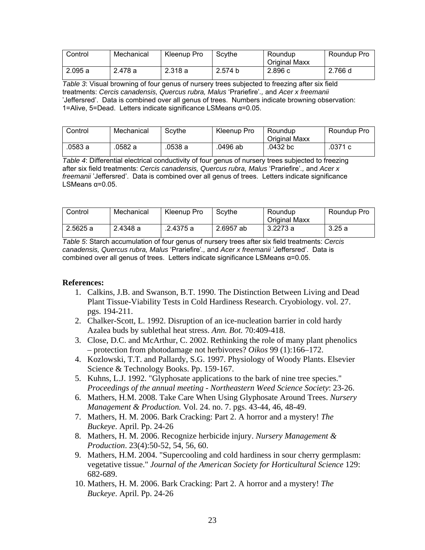| Control | Mechanical | Kleenup Pro | Scythe  | Roundup<br><b>Original Maxx</b> | Roundup Pro |
|---------|------------|-------------|---------|---------------------------------|-------------|
| 2.095a  | 2.478 a    | 2.318 a     | 2.574 b | 2.896 с                         | 2.766 d     |

*Table 3*: Visual browning of four genus of nursery trees subjected to freezing after six field treatments: *Cercis canadensis, Quercus rubra, Malus* 'Prariefire'*.,* and *Acer x freemanii*  'Jeffersred'. Data is combined over all genus of trees. Numbers indicate browning observation: 1=Alive, 5=Dead. Letters indicate significance LSMeans α=0.05.

| Control | Mechanical | Scythe  | Kleenup Pro | Roundup<br><b>Original Maxx</b> | Roundup Pro |
|---------|------------|---------|-------------|---------------------------------|-------------|
| .0583 a | 0582 a     | .0538 a | 0496 ab     | .0432 bc                        | .0371 c     |

*Table 4*: Differential electrical conductivity of four genus of nursery trees subjected to freezing after six field treatments: *Cercis canadensis, Quercus rubra, Malus* 'Prariefire'*.,* and *Acer x freemanii* 'Jeffersred'. Data is combined over all genus of trees. Letters indicate significance LSMeans  $α=0.05$ .

| Control | Mechanical | Kleenup Pro | Scythe    | Roundup<br><b>Original Maxx</b> | Roundup Pro |
|---------|------------|-------------|-----------|---------------------------------|-------------|
| 2.5625a | 2.4348 a   | .2.4375 a   | 2.6957 ab | 3.2273 a                        | 3.25a       |

*Table 5*: Starch accumulation of four genus of nursery trees after six field treatments: *Cercis canadensis, Quercus rubra, Malus* 'Prariefire'*.,* and *Acer x freemanii* 'Jeffersred'. Data is combined over all genus of trees. Letters indicate significance LSMeans  $\alpha$ =0.05.

### **References:**

- 1. Calkins, J.B. and Swanson, B.T. 1990. The Distinction Between Living and Dead Plant Tissue-Viability Tests in Cold Hardiness Research. Cryobiology. vol. 27. pgs. 194-211.
- 2. Chalker-Scott, L. 1992. Disruption of an ice-nucleation barrier in cold hardy Azalea buds by sublethal heat stress. *Ann. Bot.* 70:409-418.
- 3. Close, D.C. and McArthur, C. 2002. Rethinking the role of many plant phenolics – protection from photodamage not herbivores? *Oikos* 99 (1):166–172.
- 4. Kozlowski, T.T. and Pallardy, S.G. 1997. Physiology of Woody Plants. Elsevier Science & Technology Books. Pp. 159-167.
- 5. Kuhns, L.J. 1992. "Glyphosate applications to the bark of nine tree species." *Proceedings of the annual meeting - Northeastern Weed Science Society*: 23-26.
- 6. Mathers, H.M. 2008. Take Care When Using Glyphosate Around Trees. *Nursery Management & Production.* Vol. 24. no. 7. pgs. 43-44, 46, 48-49.
- 7. Mathers, H. M. 2006. Bark Cracking: Part 2. A horror and a mystery! *The Buckeye*. April. Pp. 24-26
- 8. Mathers, H. M. 2006. Recognize herbicide injury. *Nursery Management & Production*. 23(4):50-52, 54, 56, 60.
- 9. Mathers, H.M. 2004. "Supercooling and cold hardiness in sour cherry germplasm: vegetative tissue." *Journal of the American Society for Horticultural Science* 129: 682-689.
- 10. Mathers, H. M. 2006. Bark Cracking: Part 2. A horror and a mystery! *The Buckeye*. April. Pp. 24-26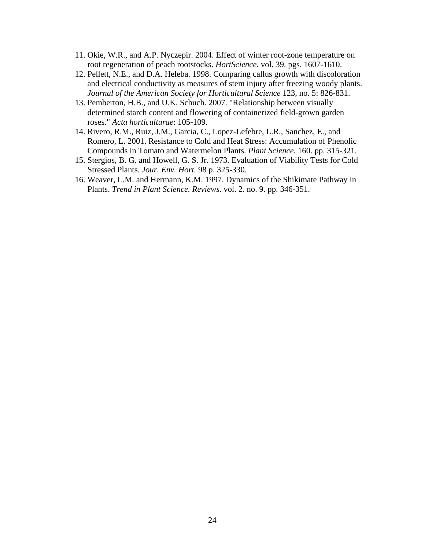- 11. Okie, W.R., and A.P. Nyczepir. 2004. Effect of winter root-zone temperature on root regeneration of peach rootstocks. *HortScience.* vol. 39. pgs. 1607-1610.
- 12. Pellett, N.E., and D.A. Heleba. 1998. Comparing callus growth with discoloration and electrical conductivity as measures of stem injury after freezing woody plants. *Journal of the American Society for Horticultural Science* 123, no. 5: 826-831.
- 13. Pemberton, H.B., and U.K. Schuch. 2007. "Relationship between visually determined starch content and flowering of containerized field-grown garden roses." *Acta horticulturae*: 105-109.
- 14. Rivero, R.M., Ruiz, J.M., Garcia, C., Lopez-Lefebre, L.R., Sanchez, E., and Romero, L. 2001. Resistance to Cold and Heat Stress: Accumulation of Phenolic Compounds in Tomato and Watermelon Plants. *Plant Science.* 160. pp. 315-321.
- 15. Stergios, B. G. and Howell, G. S. Jr. 1973. Evaluation of Viability Tests for Cold Stressed Plants. *Jour. Env. Hort.* 98 p. 325-330.
- 16. Weaver, L.M. and Hermann, K.M. 1997. Dynamics of the Shikimate Pathway in Plants. *Trend in Plant Science. Reviews*. vol. 2. no. 9. pp. 346-351.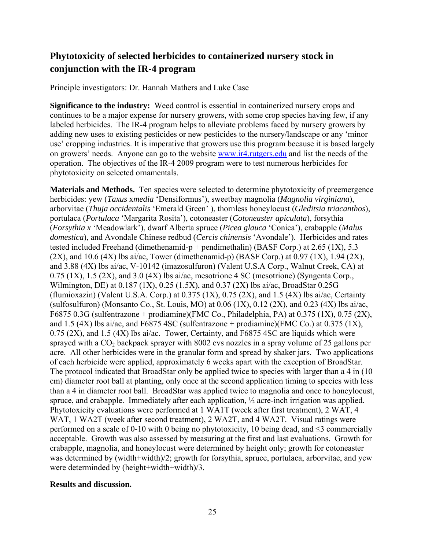# **Phytotoxicity of selected herbicides to containerized nursery stock in conjunction with the IR-4 program**

Principle investigators: Dr. Hannah Mathers and Luke Case

**Significance to the industry:** Weed control is essential in containerized nursery crops and continues to be a major expense for nursery growers, with some crop species having few, if any labeled herbicides. The IR-4 program helps to alleviate problems faced by nursery growers by adding new uses to existing pesticides or new pesticides to the nursery/landscape or any 'minor use' cropping industries. It is imperative that growers use this program because it is based largely on growers' needs. Anyone can go to the website [www.ir4.rutgers.edu](http://www.ir4.rutgers.edu/) and list the needs of the operation. The objectives of the IR-4 2009 program were to test numerous herbicides for phytotoxicity on selected ornamentals.

**Materials and Methods.** Ten species were selected to determine phytotoxicity of preemergence herbicides: yew (*Taxus* x*media* 'Densiformus'), sweetbay magnolia (*Magnolia virginiana*), arborvitae (*Thuja occidentalis* 'Emerald Green' ), thornless honeylocust (*Gleditsia triacanthos*), portulaca (*Portulaca* 'Margarita Rosita'), cotoneaster (*Cotoneaster apiculata*), forsythia (*Forsythia x* 'Meadowlark'), dwarf Alberta spruce (*Picea glauca* 'Conica'), crabapple (*Malus domestica*), and Avondale Chinese redbud (*Cercis chinensis* 'Avondale'). Herbicides and rates tested included Freehand (dimethenamid-p + pendimethalin) (BASF Corp.) at 2.65 (1X), 5.3  $(2X)$ , and 10.6  $(4X)$  lbs ai/ac, Tower (dimethenamid-p) (BASF Corp.) at 0.97  $(1X)$ , 1.94  $(2X)$ , and 3.88 (4X) lbs ai/ac, V-10142 (imazosulfuron) (Valent U.S.A Corp., Walnut Creek, CA) at  $0.75$  (1X), 1.5 (2X), and 3.0 (4X) lbs ai/ac, mesotrione 4 SC (mesotrione) (Syngenta Corp., Wilmington, DE) at 0.187 (1X), 0.25 (1.5X), and 0.37 (2X) lbs ai/ac, BroadStar 0.25G (flumioxazin) (Valent U.S.A. Corp.) at  $0.375$  (1X),  $0.75$  (2X), and 1.5 (4X) lbs ai/ac, Certainty (sulfosulfuron) (Monsanto Co., St. Louis, MO) at  $0.06$  (1X),  $0.12$  (2X), and  $0.23$  (4X) lbs ai/ac, F6875 0.3G (sulfentrazone + prodiamine)(FMC Co., Philadelphia, PA) at 0.375 (1X), 0.75 (2X), and 1.5 (4X) lbs ai/ac, and F6875 4SC (sulfentrazone + prodiamine)(FMC Co.) at 0.375 (1X), 0.75 (2X), and 1.5 (4X) lbs ai/ac. Tower, Certainty, and F6875 4SC are liquids which were sprayed with a  $CO<sub>2</sub>$  backpack sprayer with 8002 evs nozzles in a spray volume of 25 gallons per acre. All other herbicides were in the granular form and spread by shaker jars. Two applications of each herbicide were applied, approximately 6 weeks apart with the exception of BroadStar. The protocol indicated that BroadStar only be applied twice to species with larger than a 4 in (10 cm) diameter root ball at planting, only once at the second application timing to species with less than a 4 in diameter root ball. BroadStar was applied twice to magnolia and once to honeylocust, spruce, and crabapple. Immediately after each application, ½ acre-inch irrigation was applied. Phytotoxicity evaluations were performed at 1 WA1T (week after first treatment), 2 WAT, 4 WAT, 1 WA2T (week after second treatment), 2 WA2T, and 4 WA2T. Visual ratings were performed on a scale of 0-10 with 0 being no phytotoxicity, 10 being dead, and  $\leq$ 3 commercially acceptable. Growth was also assessed by measuring at the first and last evaluations. Growth for crabapple, magnolia, and honeylocust were determined by height only; growth for cotoneaster was determined by (width+width)/2; growth for forsythia, spruce, portulaca, arborvitae, and yew were determinded by (height+width+width)/3.

### **Results and discussion.**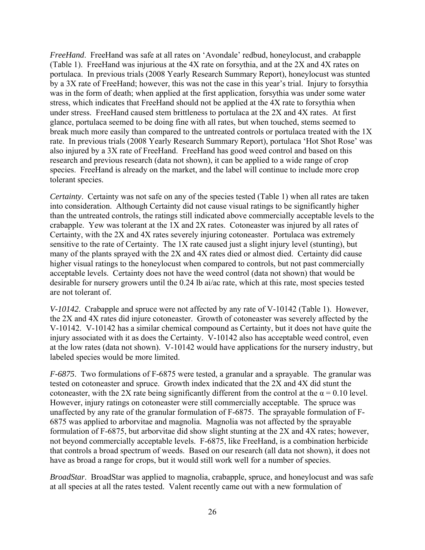*FreeHand*. FreeHand was safe at all rates on 'Avondale' redbud, honeylocust, and crabapple (Table 1). FreeHand was injurious at the 4X rate on forsythia, and at the 2X and 4X rates on portulaca. In previous trials (2008 Yearly Research Summary Report), honeylocust was stunted by a 3X rate of FreeHand; however, this was not the case in this year's trial. Injury to forsythia was in the form of death; when applied at the first application, forsythia was under some water stress, which indicates that FreeHand should not be applied at the 4X rate to forsythia when under stress. FreeHand caused stem brittleness to portulaca at the 2X and 4X rates. At first glance, portulaca seemed to be doing fine with all rates, but when touched, stems seemed to break much more easily than compared to the untreated controls or portulaca treated with the 1X rate. In previous trials (2008 Yearly Research Summary Report), portulaca 'Hot Shot Rose' was also injured by a 3X rate of FreeHand. FreeHand has good weed control and based on this research and previous research (data not shown), it can be applied to a wide range of crop species. FreeHand is already on the market, and the label will continue to include more crop tolerant species.

*Certainty*. Certainty was not safe on any of the species tested (Table 1) when all rates are taken into consideration. Although Certainty did not cause visual ratings to be significantly higher than the untreated controls, the ratings still indicated above commercially acceptable levels to the crabapple. Yew was tolerant at the 1X and 2X rates. Cotoneaster was injured by all rates of Certainty, with the 2X and 4X rates severely injuring cotoneaster. Portulaca was extremely sensitive to the rate of Certainty. The 1X rate caused just a slight injury level (stunting), but many of the plants sprayed with the 2X and 4X rates died or almost died. Certainty did cause higher visual ratings to the honeylocust when compared to controls, but not past commercially acceptable levels. Certainty does not have the weed control (data not shown) that would be desirable for nursery growers until the 0.24 lb ai/ac rate, which at this rate, most species tested are not tolerant of.

*V-10142*. Crabapple and spruce were not affected by any rate of V-10142 (Table 1). However, the 2X and 4X rates did injure cotoneaster. Growth of cotoneaster was severely affected by the V-10142. V-10142 has a similar chemical compound as Certainty, but it does not have quite the injury associated with it as does the Certainty. V-10142 also has acceptable weed control, even at the low rates (data not shown). V-10142 would have applications for the nursery industry, but labeled species would be more limited.

*F-6875*. Two formulations of F-6875 were tested, a granular and a sprayable. The granular was tested on cotoneaster and spruce. Growth index indicated that the 2X and 4X did stunt the cotoneaster, with the 2X rate being significantly different from the control at the  $\alpha = 0.10$  level. However, injury ratings on cotoneaster were still commercially acceptable. The spruce was unaffected by any rate of the granular formulation of F-6875. The sprayable formulation of F-6875 was applied to arborvitae and magnolia. Magnolia was not affected by the sprayable formulation of F-6875, but arborvitae did show slight stunting at the 2X and 4X rates; however, not beyond commercially acceptable levels. F-6875, like FreeHand, is a combination herbicide that controls a broad spectrum of weeds. Based on our research (all data not shown), it does not have as broad a range for crops, but it would still work well for a number of species.

*BroadStar*. BroadStar was applied to magnolia, crabapple, spruce, and honeylocust and was safe at all species at all the rates tested. Valent recently came out with a new formulation of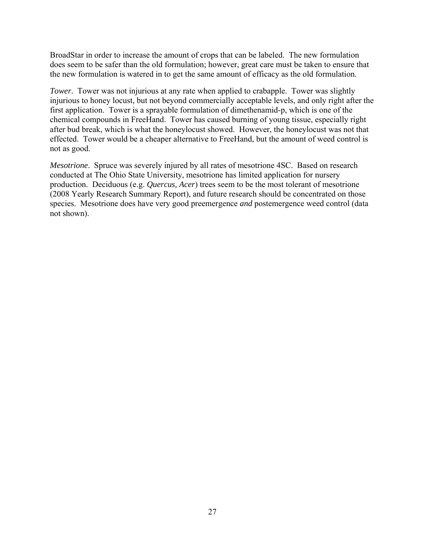BroadStar in order to increase the amount of crops that can be labeled. The new formulation does seem to be safer than the old formulation; however, great care must be taken to ensure that the new formulation is watered in to get the same amount of efficacy as the old formulation.

*Tower*. Tower was not injurious at any rate when applied to crabapple. Tower was slightly injurious to honey locust, but not beyond commercially acceptable levels, and only right after the first application. Tower is a sprayable formulation of dimethenamid-p, which is one of the chemical compounds in FreeHand. Tower has caused burning of young tissue, especially right after bud break, which is what the honeylocust showed. However, the honeylocust was not that effected. Tower would be a cheaper alternative to FreeHand, but the amount of weed control is not as good.

*Mesotrione*. Spruce was severely injured by all rates of mesotrione 4SC. Based on research conducted at The Ohio State University, mesotrione has limited application for nursery production. Deciduous (e.g. *Quercus, Acer*) trees seem to be the most tolerant of mesotrione (2008 Yearly Research Summary Report), and future research should be concentrated on those species. Mesotrione does have very good preemergence *and* postemergence weed control (data not shown).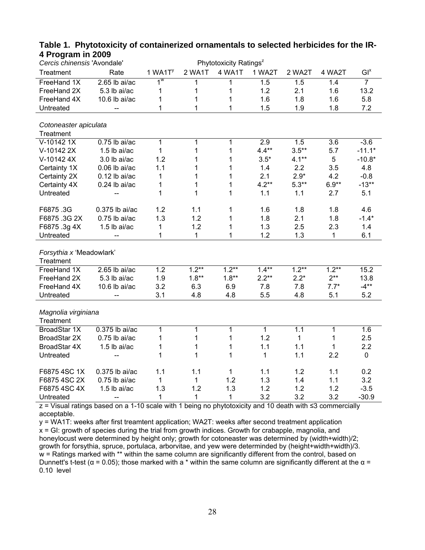| Cercis chinensis 'Avondale' |                 |                       |         | Phytotoxicity Ratings <sup>z</sup> |              |              |          |                |
|-----------------------------|-----------------|-----------------------|---------|------------------------------------|--------------|--------------|----------|----------------|
| Treatment                   | Rate            | $1$ WA1T <sup>y</sup> | 2 WA1T  | 4 WA1T                             | 1 WA2T       | 2 WA2T       | 4 WA2T   | $GI^x$         |
| FreeHand 1X                 | $2.65$ lb ai/ac | $1^w$                 | 1       | 1                                  | 1.5          | 1.5          | 1.4      | $\overline{7}$ |
| FreeHand 2X                 | 5.3 lb ai/ac    | 1                     | 1       | 1                                  | 1.2          | 2.1          | 1.6      | 13.2           |
| FreeHand 4X                 | 10.6 lb ai/ac   | 1                     | 1       | 1                                  | 1.6          | 1.8          | 1.6      | 5.8            |
| Untreated                   | --              | 1                     | 1       | 1                                  | 1.5          | 1.9          | 1.8      | 7.2            |
|                             |                 |                       |         |                                    |              |              |          |                |
| Cotoneaster apiculata       |                 |                       |         |                                    |              |              |          |                |
| Treatment                   |                 |                       |         |                                    |              |              |          |                |
| V-10142 1X                  | $0.75$ lb ai/ac | 1                     | 1       | 1                                  | 2.9          | 1.5          | 3.6      | $-3.6$         |
| V-10142 2X                  | 1.5 lb ai/ac    | $\mathbf{1}$          | 1       | 1                                  | $4.4**$      | $3.5**$      | 5.7      | $-11.1*$       |
| V-10142 4X                  | 3.0 lb ai/ac    | 1.2                   | 1       | 1                                  | $3.5*$       | $4.1**$      | 5        | $-10.8*$       |
| Certainty 1X                | $0.06$ lb ai/ac | 1.1                   | 1       | 1                                  | 1.4          | 2.2          | 3.5      | 4.8            |
| Certainty 2X                | $0.12$ lb ai/ac | 1                     | 1       | 1                                  | 2.1          | $2.9*$       | 4.2      | $-0.8$         |
| Certainty 4X                | 0.24 lb ai/ac   | 1                     | 1       | 1                                  | $4.2**$      | $5.3**$      | $6.9**$  | $-13**$        |
| Untreated                   |                 | 1                     | 1       | 1                                  | 1.1          | 1.1          | 2.7      | 5.1            |
| F6875.3G                    | 0.375 lb ai/ac  | 1.2                   | 1.1     | 1                                  | 1.6          | 1.8          | 1.8      | 4.6            |
| F6875.3G2X                  | $0.75$ lb ai/ac | 1.3                   | 1.2     | 1                                  | 1.8          | 2.1          | 1.8      | $-1.4*$        |
|                             | 1.5 lb ai/ac    |                       | 1.2     | 1                                  | 1.3          | 2.5          |          |                |
| F6875.3g4X<br>Untreated     |                 | 1<br>1                | 1       | 1                                  | 1.2          | 1.3          | 2.3<br>1 | 1.4<br>6.1     |
|                             |                 |                       |         |                                    |              |              |          |                |
| Forsythia x 'Meadowlark'    |                 |                       |         |                                    |              |              |          |                |
| Treatment                   |                 |                       |         |                                    |              |              |          |                |
| FreeHand 1X                 | 2.65 lb ai/ac   | 1.2                   | $1.2**$ | $1.2**$                            | $1.4***$     | $1.2**$      | $1.2***$ | 15.2           |
| FreeHand 2X                 | 5.3 lb ai/ac    | 1.9                   | $1.8**$ | $1.8**$                            | $2.2**$      | $2.2*$       | $2***$   | 13.8           |
| FreeHand 4X                 | 10.6 lb ai/ac   | 3.2                   | 6.3     | 6.9                                | 7.8          | 7.8          | $7.7*$   | $-4**$         |
| Untreated                   |                 | 3.1                   | 4.8     | 4.8                                | 5.5          | 4.8          | 5.1      | 5.2            |
|                             |                 |                       |         |                                    |              |              |          |                |
| Magnolia virginiana         |                 |                       |         |                                    |              |              |          |                |
| Treatment                   |                 |                       |         |                                    |              |              |          |                |
| BroadStar 1X                | 0.375 lb ai/ac  | $\mathbf{1}$          | 1       | 1                                  | $\mathbf{1}$ | 1.1          | 1        | 1.6            |
| BroadStar 2X                | $0.75$ lb ai/ac | 1                     | 1       | 1                                  | 1.2          | $\mathbf{1}$ | 1        | 2.5            |
| BroadStar 4X                | $1.5$ lb ai/ac  | 1                     | 1       | 1                                  | 1.1          | 1.1          | 1        | 2.2            |
| Untreated                   |                 | 1                     | 1       | 1                                  | 1            | 1.1          | 2.2      | 0              |
|                             |                 |                       |         |                                    |              |              |          |                |
| F6875 4SC 1X                | 0.375 lb ai/ac  | 1.1                   | 1.1     | 1                                  | 1.1          | 1.2          | 1.1      | 0.2            |
| F6875 4SC 2X                | $0.75$ lb ai/ac | $\mathbf{1}$          | 1       | 1.2                                | 1.3          | 1.4          | 1.1      | 3.2            |
| F6875 4SC 4X                | 1.5 lb ai/ac    | 1.3                   | 1.2     | 1.3                                | 1.2          | 1.2          | 1.2      | $-3.5$         |
| Untreated                   |                 | 1                     | 1       | 1                                  | 3.2          | 3.2          | 3.2      | $-30.9$        |

### **Table 1. Phytotoxicity of containerized ornamentals to selected herbicides for the IR-4 Program in 2009**

z = Visual ratings based on a 1-10 scale with 1 being no phytotoxicity and 10 death with ≤3 commercially acceptable.

y = WA1T: weeks after first treamtent application; WA2T: weeks after second treatment application x = GI: growth of species during the trial from growth indices. Growth for crabapple, magnolia, and honeylocust were determined by height only; growth for cotoneaster was determined by (width+width)/2; growth for forsythia, spruce, portulaca, arborvitae, and yew were determinded by (height+width+width)/3. w = Ratings marked with \*\* within the same column are significantly different from the control, based on Dunnett's t-test ( $α = 0.05$ ); those marked with a \* within the same column are significantly different at the  $α =$ 0.10 level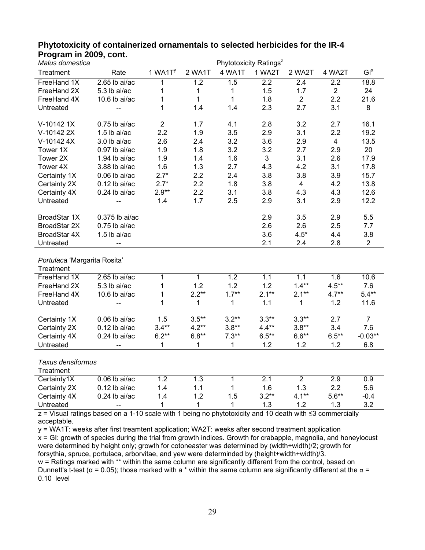| Malus domestica                                                                                          |                          |                       |                |                  | Phytotoxicity Ratings <sup>z</sup> |                |                |                |
|----------------------------------------------------------------------------------------------------------|--------------------------|-----------------------|----------------|------------------|------------------------------------|----------------|----------------|----------------|
| Treatment                                                                                                | Rate                     | $1$ WA1T <sup>y</sup> | 2 WA1T         | 4 WA1T           | 1 WA2T                             | 2 WA2T         | 4 WA2T         | $GI^x$         |
| FreeHand 1X                                                                                              | $2.65$ lb ai/ac          | 1                     | 1.2            | 1.5              | $\overline{2.2}$                   | 2.4            | 2.2            | 18.8           |
| FreeHand 2X                                                                                              | 5.3 lb ai/ac             | 1                     | $\mathbf 1$    | $\mathbf{1}$     | 1.5                                | 1.7            | $\overline{2}$ | 24             |
| FreeHand 4X                                                                                              | 10.6 lb $ai/ac$          | 1                     | $\mathbf{1}$   | $\mathbf{1}$     | 1.8                                | $\overline{2}$ | 2.2            | 21.6           |
| Untreated                                                                                                |                          | 1                     | 1.4            | 1.4              | 2.3                                | 2.7            | 3.1            | 8              |
|                                                                                                          |                          |                       |                |                  |                                    |                |                |                |
| V-10142 1X                                                                                               | $0.75$ lb ai/ac          | $\overline{2}$        | 1.7            | 4.1              | 2.8                                | 3.2            | 2.7            | 16.1           |
| V-10142 2X                                                                                               | $1.5$ lb ai/ac           | 2.2                   | 1.9            | 3.5              | 2.9                                | 3.1            | 2.2            | 19.2           |
| V-10142 4X                                                                                               | 3.0 lb ai/ac             | 2.6                   | 2.4            | 3.2              | 3.6                                | 2.9            | $\overline{4}$ | 13.5           |
| Tower 1X                                                                                                 | 0.97 lb ai/ac            | 1.9                   | 1.8            | 3.2              | 3.2                                | 2.7            | 2.9            | 20             |
| Tower 2X                                                                                                 | 1.94 lb ai/ac            | 1.9                   | 1.4            | 1.6              | 3                                  | 3.1            | 2.6            | 17.9           |
| Tower 4X                                                                                                 | 3.88 lb ai/ac            | 1.6                   | 1.3            | 2.7              | 4.3                                | 4.2            | 3.1            | 17.8           |
| Certainty 1X                                                                                             | $0.06$ lb ai/ac          | $2.7*$                | 2.2            | 2.4              | 3.8                                | 3.8            | 3.9            | 15.7           |
| Certainty 2X                                                                                             | $0.12$ lb ai/ac          | $2.7*$                | 2.2            | 1.8              | 3.8                                | $\overline{4}$ | 4.2            | 13.8           |
| Certainty 4X                                                                                             | $0.24$ lb ai/ac          | $2.9**$               | 2.2            | 3.1              | 3.8                                | 4.3            | 4.3            | 12.6           |
| Untreated                                                                                                | $\overline{\phantom{a}}$ | 1.4                   | 1.7            | 2.5              | 2.9                                | 3.1            | 2.9            | 12.2           |
|                                                                                                          |                          |                       |                |                  |                                    |                |                |                |
| BroadStar 1X                                                                                             | 0.375 lb ai/ac           |                       |                |                  | 2.9                                | 3.5            | 2.9            | 5.5            |
| BroadStar 2X                                                                                             | $0.75$ lb ai/ac          |                       |                |                  | 2.6                                | 2.6            | 2.5            | 7.7            |
| BroadStar 4X                                                                                             | 1.5 lb ai/ac             |                       |                |                  | 3.6                                | $4.5*$         | 4.4            | 3.8            |
| Untreated                                                                                                |                          |                       |                |                  | 2.1                                | 2.4            | 2.8            | $\overline{2}$ |
| Portulaca 'Margarita Rosita'                                                                             |                          |                       |                |                  |                                    |                |                |                |
| Treatment                                                                                                |                          |                       |                |                  |                                    |                |                |                |
| FreeHand 1X                                                                                              | $2.65$ lb ai/ac          | $\overline{1}$        | $\overline{1}$ | $\overline{1.2}$ | 1.1                                | 1.1            | 1.6            | 10.6           |
| FreeHand 2X                                                                                              | 5.3 lb ai/ac             | 1                     | 1.2            | 1.2              | 1.2                                | $1.4**$        | $4.5***$       | 7.6            |
| FreeHand 4X                                                                                              | 10.6 lb ai/ac            | 1                     | $2.2**$        | $1.7***$         | $2.1**$                            | $2.1**$        | $4.7**$        | $5.4**$        |
| Untreated                                                                                                |                          | 1                     | $\mathbf 1$    | $\mathbf 1$      | $1.1$                              | 1              | 1.2            | 11.6           |
|                                                                                                          |                          |                       |                |                  |                                    |                |                |                |
| Certainty 1X                                                                                             | $0.06$ lb ai/ac          | 1.5                   | $3.5***$       | $3.2**$          | $3.3**$                            | $3.3**$        | 2.7            | $\overline{7}$ |
| Certainty 2X                                                                                             | $0.12$ lb ai/ac          | $3.4**$               | $4.2**$        | $3.8**$          | $4.4**$                            | $3.8**$        | 3.4            | 7.6            |
| Certainty 4X                                                                                             | $0.24$ lb ai/ac          | $6.2**$               | $6.8**$        | $7.3**$          | $6.5***$                           | $6.6**$        | $6.5***$       | $-0.03**$      |
| Untreated                                                                                                | --                       | 1                     | $\mathbf{1}$   | $\mathbf 1$      | 1.2                                | 1.2            | 1.2            | 6.8            |
| Taxus densiformus                                                                                        |                          |                       |                |                  |                                    |                |                |                |
| Treatment                                                                                                |                          |                       |                |                  |                                    |                |                |                |
| Certainty1X                                                                                              | $0.06$ lb ai/ac          | 1.2                   | 1.3            | $\mathbf{1}$     | 2.1                                | $\overline{2}$ | 2.9            | 0.9            |
| Certainty 2X                                                                                             | $0.12$ lb ai/ac          | 1.4                   | 1.1            | 1                | 1.6                                | 1.3            | 2.2            | 5.6            |
| Certainty 4X                                                                                             | $0.24$ lb ai/ac          | 1.4                   | 1.2            | 1.5              | $3.2**$                            | $4.1**$        | $5.6**$        | $-0.4$         |
| Untreated                                                                                                | $-$                      | $\mathbf{1}$          | $\mathbf{1}$   | $\mathbf{1}$     | 1.3                                | 1.2            | 1.3            | 3.2            |
|                                                                                                          |                          |                       |                |                  |                                    |                |                |                |
| z = Visual ratings based on a 1-10 scale with 1 being no phytotoxicity and 10 death with ≤3 commercially |                          |                       |                |                  |                                    |                |                |                |

### **Phytotoxicity of containerized ornamentals to selected herbicides for the IR-4 Program in 2009, cont.**

acceptable.

y = WA1T: weeks after first treamtent application; WA2T: weeks after second treatment application  $x = G$ : growth of species during the trial from growth indices. Growth for crabapple, magnolia, and honeylocust were determined by height only; growth for cotoneaster was determined by (width+width)/2; growth for forsythia, spruce, portulaca, arborvitae, and yew were determinded by (height+width+width)/3. w = Ratings marked with \*\* within the same column are significantly different from the control, based on Dunnett's t-test ( $\alpha$  = 0.05); those marked with a \* within the same column are significantly different at the  $\alpha$  = 0.10 level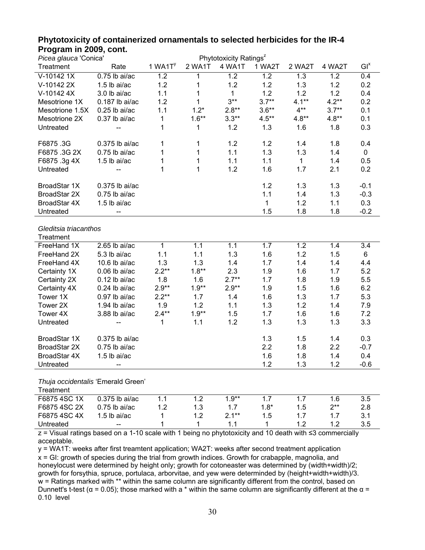| י ייטער בעט <sub>א</sub> זוו וווא ונא<br>Phytotoxicity Ratings <sup>z</sup><br>Picea glauca 'Conica' |                  |                       |         |                  |              |              |         |                 |
|------------------------------------------------------------------------------------------------------|------------------|-----------------------|---------|------------------|--------------|--------------|---------|-----------------|
| Treatment                                                                                            | Rate             | $1$ WA1T <sup>y</sup> | 2 WA1T  | 4 WA1T           | 1 WA2T       | 2 WA2T       | 4 WA2T  | GI <sup>x</sup> |
|                                                                                                      |                  |                       |         |                  |              |              |         |                 |
| V-10142 1X                                                                                           | $0.75$ lb ai/ac  | 1.2                   | 1       | $\overline{1.2}$ | 1.2          | 1.3          | 1.2     | 0.4             |
| V-10142 2X                                                                                           | 1.5 lb ai/ac     | 1.2                   | 1       | 1.2              | 1.2          | 1.3          | 1.2     | 0.2             |
| V-10142 4X                                                                                           | 3.0 lb ai/ac     | 1.1                   | 1       | $\mathbf{1}$     | 1.2          | 1.2          | 1.2     | 0.4             |
| Mesotrione 1X                                                                                        | $0.187$ lb ai/ac | 1.2                   | 1       | $3***$           | $3.7**$      | $4.1***$     | $4.2**$ | 0.2             |
| Mesotrione 1.5X                                                                                      | $0.25$ lb ai/ac  | 1.1                   | $1.2*$  | $2.8**$          | $3.6**$      | $4***$       | $3.7**$ | 0.1             |
| Mesotrione 2X                                                                                        | $0.37$ lb ai/ac  | 1                     | $1.6**$ | $3.3**$          | $4.5***$     | $4.8**$      | $4.8**$ | 0.1             |
| Untreated                                                                                            |                  | 1                     | 1       | 1.2              | 1.3          | 1.6          | 1.8     | 0.3             |
| F6875.3G                                                                                             | 0.375 lb ai/ac   | 1                     | 1       | 1.2              | 1.2          | 1.4          | 1.8     | 0.4             |
| F6875.3G2X                                                                                           | $0.75$ lb ai/ac  | 1                     | 1       | 1.1              | 1.3          | 1.3          | 1.4     | $\mathbf 0$     |
| F6875.3g4X                                                                                           | 1.5 lb ai/ac     | 1                     | 1       | 1.1              | 1.1          | $\mathbf{1}$ | 1.4     | 0.5             |
| Untreated                                                                                            |                  | 1                     | 1       | 1.2              | 1.6          | 1.7          | 2.1     | 0.2             |
| BroadStar 1X                                                                                         | 0.375 lb ai/ac   |                       |         |                  | 1.2          | 1.3          | 1.3     | $-0.1$          |
| BroadStar 2X                                                                                         | $0.75$ lb ai/ac  |                       |         |                  | 1.1          | 1.4          | 1.3     | $-0.3$          |
| BroadStar 4X                                                                                         | 1.5 lb ai/ac     |                       |         |                  | $\mathbf{1}$ | 1.2          | 1.1     | 0.3             |
| Untreated                                                                                            |                  |                       |         |                  | 1.5          | 1.8          | 1.8     | $-0.2$          |
|                                                                                                      |                  |                       |         |                  |              |              |         |                 |
| Gleditsia triacanthos<br>Treatment                                                                   |                  |                       |         |                  |              |              |         |                 |
| FreeHand 1X                                                                                          | $2.65$ lb ai/ac  | $\mathbf 1$           | 1.1     | $1.\overline{1}$ | 1.7          | 1.2          | 1.4     | 3.4             |
| FreeHand 2X                                                                                          | 5.3 lb ai/ac     | 1.1                   | 1.1     | 1.3              | 1.6          | 1.2          | 1.5     | 6               |
| FreeHand 4X                                                                                          | 10.6 lb $ai/ac$  | 1.3                   | 1.3     | 1.4              | 1.7          | 1.4          | 1.4     | 4.4             |
| Certainty 1X                                                                                         | $0.06$ lb ai/ac  | $2.2**$               | $1.8**$ | 2.3              | 1.9          | 1.6          | 1.7     | 5.2             |
|                                                                                                      | $0.12$ lb ai/ac  | 1.8                   | 1.6     | $2.7**$          | 1.7          | 1.8          | 1.9     | 5.5             |
| Certainty 2X                                                                                         |                  | $2.9**$               | $1.9**$ | $2.9**$          | 1.9          | 1.5          | 1.6     | 6.2             |
| Certainty 4X                                                                                         | $0.24$ lb ai/ac  | $2.2**$               |         |                  |              |              |         |                 |
| Tower 1X                                                                                             | 0.97 lb ai/ac    |                       | 1.7     | 1.4              | 1.6          | 1.3          | 1.7     | 5.3             |
| Tower 2X                                                                                             | 1.94 lb ai/ac    | 1.9                   | 1.2     | 1.1              | 1.3          | 1.2          | 1.4     | 7.9             |
| Tower 4X                                                                                             | 3.88 lb ai/ac    | $2.4**$               | $1.9**$ | 1.5              | 1.7          | 1.6          | 1.6     | 7.2             |
| Untreated                                                                                            |                  | 1                     | 1.1     | 1.2              | 1.3          | 1.3          | 1.3     | 3.3             |
| BroadStar 1X                                                                                         | 0.375 lb ai/ac   |                       |         |                  | 1.3          | 1.5          | 1.4     | 0.3             |
| BroadStar 2X                                                                                         | $0.75$ lb ai/ac  |                       |         |                  | 2.2          | 1.8          | 2.2     | $-0.7$          |
| BroadStar 4X                                                                                         | 1.5 lb ai/ac     |                       |         |                  | 1.6          | 1.8          | 1.4     | 0.4             |
| Untreated                                                                                            |                  |                       |         |                  | 1.2          | 1.3          | 1.2     | $-0.6$          |
|                                                                                                      |                  |                       |         |                  |              |              |         |                 |

## **Phytotoxicity of containerized ornamentals to selected herbicides for the IR-4 Program in 2009, cont.**

*Thuja occidentalis* 'Emerald Green'

| Treatment    |                   |    |     |         |        |     |     |
|--------------|-------------------|----|-----|---------|--------|-----|-----|
| F6875 4SC 1X | $0.375$ lb ai/ac  |    |     | 1 $9**$ |        | 1.6 | 3.5 |
| F6875 4SC 2X | $0.75$ lb ai/ac   | 12 | 1.3 |         | $1.8*$ | つ** | 2.8 |
| F6875 4SC 4X | 1.5 lb ai/ac      |    |     | $2.1**$ | 1.5    |     | 3.1 |
| Untreated    | $\hspace{0.05cm}$ |    |     |         |        |     | 3.5 |

z = Visual ratings based on a 1-10 scale with 1 being no phytotoxicity and 10 death with ≤3 commercially acceptable.

y = WA1T: weeks after first treamtent application; WA2T: weeks after second treatment application x = GI: growth of species during the trial from growth indices. Growth for crabapple, magnolia, and honeylocust were determined by height only; growth for cotoneaster was determined by (width+width)/2; growth for forsythia, spruce, portulaca, arborvitae, and yew were determinded by (height+width+width)/3. w = Ratings marked with \*\* within the same column are significantly different from the control, based on Dunnett's t-test ( $α = 0.05$ ); those marked with a \* within the same column are significantly different at the  $α =$ 0.10 level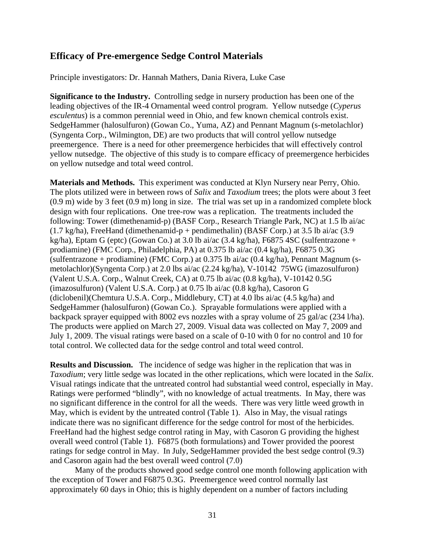## **Efficacy of Pre-emergence Sedge Control Materials**

Principle investigators: Dr. Hannah Mathers, Dania Rivera, Luke Case

**Significance to the Industry.** Controlling sedge in nursery production has been one of the leading objectives of the IR-4 Ornamental weed control program. Yellow nutsedge (*Cyperus esculentus*) is a common perennial weed in Ohio, and few known chemical controls exist. SedgeHammer (halosulfuron) (Gowan Co., Yuma, AZ) and Pennant Magnum (s-metolachlor) (Syngenta Corp., Wilmington, DE) are two products that will control yellow nutsedge preemergence. There is a need for other preemergence herbicides that will effectively control yellow nutsedge. The objective of this study is to compare efficacy of preemergence herbicides on yellow nutsedge and total weed control.

**Materials and Methods.** This experiment was conducted at Klyn Nursery near Perry, Ohio. The plots utilized were in between rows of *Salix* and *Taxodium* trees; the plots were about 3 feet (0.9 m) wide by 3 feet (0.9 m) long in size. The trial was set up in a randomized complete block design with four replications. One tree-row was a replication. The treatments included the following: Tower (dimethenamid-p) (BASF Corp., Research Triangle Park, NC) at 1.5 lb ai/ac  $(1.7 \text{ kg/ha})$ , FreeHand (dimethenamid-p + pendimethalin) (BASF Corp.) at 3.5 lb ai/ac (3.9 kg/ha), Eptam G (eptc) (Gowan Co.) at 3.0 lb ai/ac (3.4 kg/ha), F6875 4SC (sulfentrazone + prodiamine) (FMC Corp., Philadelphia, PA) at 0.375 lb ai/ac (0.4 kg/ha), F6875 0.3G (sulfentrazone + prodiamine) (FMC Corp.) at 0.375 lb ai/ac (0.4 kg/ha), Pennant Magnum (smetolachlor)(Syngenta Corp.) at 2.0 lbs ai/ac (2.24 kg/ha), V-10142 75WG (imazosulfuron) (Valent U.S.A. Corp., Walnut Creek, CA) at 0.75 lb ai/ac (0.8 kg/ha), V-10142 0.5G (imazosulfuron) (Valent U.S.A. Corp.) at 0.75 lb ai/ac (0.8 kg/ha), Casoron G (diclobenil)(Chemtura U.S.A. Corp., Middlebury, CT) at 4.0 lbs ai/ac (4.5 kg/ha) and SedgeHammer (halosulfuron) (Gowan Co.). Sprayable formulations were applied with a backpack sprayer equipped with 8002 evs nozzles with a spray volume of 25 gal/ac (234 l/ha). The products were applied on March 27, 2009. Visual data was collected on May 7, 2009 and July 1, 2009. The visual ratings were based on a scale of 0-10 with 0 for no control and 10 for total control. We collected data for the sedge control and total weed control.

**Results and Discussion.** The incidence of sedge was higher in the replication that was in *Taxodium*; very little sedge was located in the other replications, which were located in the *Salix*. Visual ratings indicate that the untreated control had substantial weed control, especially in May. Ratings were performed "blindly", with no knowledge of actual treatments. In May, there was no significant difference in the control for all the weeds. There was very little weed growth in May, which is evident by the untreated control (Table 1). Also in May, the visual ratings indicate there was no significant difference for the sedge control for most of the herbicides. FreeHand had the highest sedge control rating in May, with Casoron G providing the highest overall weed control (Table 1). F6875 (both formulations) and Tower provided the poorest ratings for sedge control in May. In July, SedgeHammer provided the best sedge control (9.3) and Casoron again had the best overall weed control (7.0)

 Many of the products showed good sedge control one month following application with the exception of Tower and F6875 0.3G. Preemergence weed control normally last approximately 60 days in Ohio; this is highly dependent on a number of factors including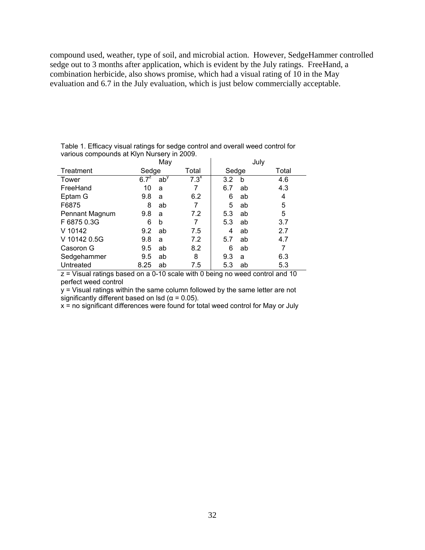compound used, weather, type of soil, and microbial action. However, SedgeHammer controlled sedge out to 3 months after application, which is evident by the July ratings. FreeHand, a combination herbicide, also shows promise, which had a visual rating of 10 in the May evaluation and 6.7 in the July evaluation, which is just below commercially acceptable.

|                |                      | May    |         | July  |    |       |
|----------------|----------------------|--------|---------|-------|----|-------|
| Treatment      | Sedge                |        | Total   | Sedge |    | Total |
| Tower          | $6.7^{\overline{z}}$ | $ab^y$ | $7.3^x$ | 3.2   | b  | 4.6   |
| FreeHand       | 10                   | a      | 7       | 6.7   | ab | 4.3   |
| Eptam G        | 9.8                  | a      | 6.2     | 6     | ab | 4     |
| F6875          | 8                    | ab     |         | 5     | ab | 5     |
| Pennant Magnum | 9.8                  | a      | 7.2     | 5.3   | ab | 5     |
| F 6875 0.3G    | 6                    | b      | 7       | 5.3   | ab | 3.7   |
| V 10142        | 9.2                  | ab     | 7.5     | 4     | ab | 2.7   |
| V 10142 0.5G   | 9.8                  | a      | 7.2     | 5.7   | ab | 4.7   |
| Casoron G      | 9.5                  | ab     | 8.2     | 6     | ab | 7     |
| Sedgehammer    | 9.5                  | ab     | 8       | 9.3   | a  | 6.3   |
| Untreated      | 8.25                 | ab     | 7.5     | 5.3   | ab | 5.3   |

Table 1. Efficacy visual ratings for sedge control and overall weed control for various compounds at Klyn Nursery in 2009.

z = Visual ratings based on a 0-10 scale with 0 being no weed control and 10 perfect weed control

y = Visual ratings within the same column followed by the same letter are not significantly different based on lsd ( $\alpha$  = 0.05).

x = no significant differences were found for total weed control for May or July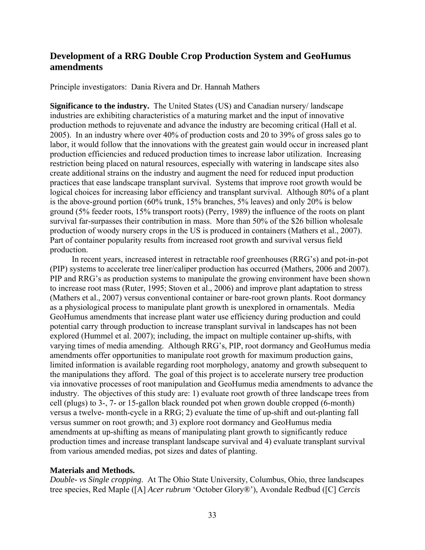## **Development of a RRG Double Crop Production System and GeoHumus amendments**

Principle investigators: Dania Rivera and Dr. Hannah Mathers

**Significance to the industry.** The United States (US) and Canadian nursery/ landscape industries are exhibiting characteristics of a maturing market and the input of innovative production methods to rejuvenate and advance the industry are becoming critical (Hall et al. 2005). In an industry where over 40% of production costs and 20 to 39% of gross sales go to labor, it would follow that the innovations with the greatest gain would occur in increased plant production efficiencies and reduced production times to increase labor utilization. Increasing restriction being placed on natural resources, especially with watering in landscape sites also create additional strains on the industry and augment the need for reduced input production practices that ease landscape transplant survival. Systems that improve root growth would be logical choices for increasing labor efficiency and transplant survival. Although 80% of a plant is the above-ground portion (60% trunk, 15% branches, 5% leaves) and only 20% is below ground (5% feeder roots, 15% transport roots) (Perry, 1989) the influence of the roots on plant survival far-surpasses their contribution in mass. More than 50% of the \$26 billion wholesale production of woody nursery crops in the US is produced in containers (Mathers et al., 2007). Part of container popularity results from increased root growth and survival versus field production.

In recent years, increased interest in retractable roof greenhouses (RRG's) and pot-in-pot (PIP) systems to accelerate tree liner/caliper production has occurred (Mathers, 2006 and 2007). PIP and RRG's as production systems to manipulate the growing environment have been shown to increase root mass (Ruter, 1995; Stoven et al., 2006) and improve plant adaptation to stress (Mathers et al., 2007) versus conventional container or bare-root grown plants. Root dormancy as a physiological process to manipulate plant growth is unexplored in ornamentals. Media GeoHumus amendments that increase plant water use efficiency during production and could potential carry through production to increase transplant survival in landscapes has not been explored (Hummel et al. 2007); including, the impact on multiple container up-shifts, with varying times of media amending. Although RRG's, PIP, root dormancy and GeoHumus media amendments offer opportunities to manipulate root growth for maximum production gains, limited information is available regarding root morphology, anatomy and growth subsequent to the manipulations they afford. The goal of this project is to accelerate nursery tree production via innovative processes of root manipulation and GeoHumus media amendments to advance the industry. The objectives of this study are: 1) evaluate root growth of three landscape trees from cell (plugs) to 3-, 7- or 15-gallon black rounded pot when grown double cropped (6-month) versus a twelve- month-cycle in a RRG; 2) evaluate the time of up-shift and out-planting fall versus summer on root growth; and 3) explore root dormancy and GeoHumus media amendments at up-shifting as means of manipulating plant growth to significantly reduce production times and increase transplant landscape survival and 4) evaluate transplant survival from various amended medias, pot sizes and dates of planting.

### **Materials and Methods.**

*Double- vs Single cropping*. At The Ohio State University, Columbus, Ohio, three landscapes tree species, Red Maple ([A] *Acer rubrum* 'October Glory®'), Avondale Redbud ([C] *Cercis*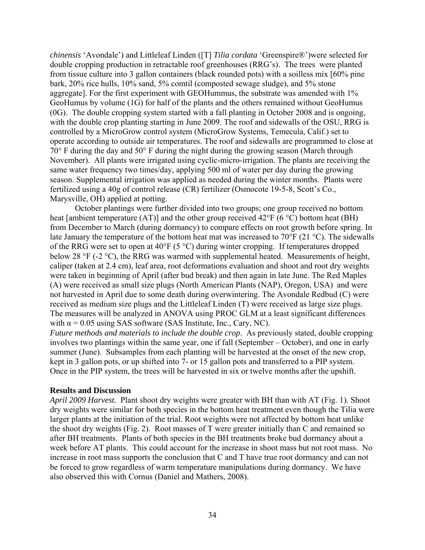*chinensis* 'Avondale') and Littleleaf Linden ([T] *Tilia cordata* 'Greenspire®')were selected for double cropping production in retractable roof greenhouses (RRG's). The trees were planted from tissue culture into 3 gallon containers (black rounded pots) with a soilless mix [60% pine bark, 20% rice hulls, 10% sand, 5% comtil (composted sewage sludge), and 5% stone aggregate]. For the first experiment with GEOHummus, the substrate was amended with 1% GeoHumus by volume (1G) for half of the plants and the others remained without GeoHumus (0G). The double cropping system started with a fall planting in October 2008 and is ongoing, with the double crop planting starting in June 2009. The roof and sidewalls of the OSU, RRG is controlled by a MicroGrow control system (MicroGrow Systems, Temecula, Calif.) set to operate according to outside air temperatures. The roof and sidewalls are programmed to close at 70° F during the day and 50° F during the night during the growing season (March through November). All plants were irrigated using cyclic-micro-irrigation. The plants are receiving the same water frequency two times/day, applying 500 ml of water per day during the growing season. Supplemental irrigation was applied as needed during the winter months. Plants were fertilized using a 40g of control release (CR) fertilizer (Osmocote 19-5-8, Scott's Co., Marysville, OH) applied at potting.

October plantings were further divided into two groups; one group received no bottom heat [ambient temperature (AT)] and the other group received 42°F (6 °C) bottom heat (BH) from December to March (during dormancy) to compare effects on root growth before spring. In late January the temperature of the bottom heat mat was increased to 70°F (21 °C). The sidewalls of the RRG were set to open at 40°F (5 °C) during winter cropping. If temperatures dropped below 28 °F (-2 °C), the RRG was warmed with supplemental heated. Measurements of height, caliper (taken at 2.4 cm), leaf area, root deformations evaluation and shoot and root dry weights were taken in beginning of April (after bud break) and then again in late June. The Red Maples (A) were received as small size plugs (North American Plants (NAP), Oregon, USA) and were not harvested in April due to some death during overwintering. The Avondale Redbud (C) were received as medium size plugs and the Littleleaf Linden (T) were received as large size plugs. The measures will be analyzed in ANOVA using PROC GLM at a least significant differences with  $\alpha$  = 0.05 using SAS software (SAS Institute, Inc., Cary, NC).

*Future methods and materials to include the double crop*. As previously stated, double cropping involves two plantings within the same year, one if fall (September – October), and one in early summer (June). Subsamples from each planting will be harvested at the onset of the new crop, kept in 3 gallon pots, or up shifted into 7- or 15 gallon pots and transferred to a PIP system. Once in the PIP system, the trees will be harvested in six or twelve months after the upshift.

#### **Results and Discussion**

*April 2009 Harvest.* Plant shoot dry weights were greater with BH than with AT (Fig. 1). Shoot dry weights were similar for both species in the bottom heat treatment even though the Tilia were larger plants at the initiation of the trial. Root weights were not affected by bottom heat unlike the shoot dry weights (Fig. 2). Root masses of T were greater initially than C and remained so after BH treatments. Plants of both species in the BH treatments broke bud dormancy about a week before AT plants. This could account for the increase in shoot mass but not root mass. No increase in root mass supports the conclusion that C and T have true root dormancy and can not be forced to grow regardless of warm temperature manipulations during dormancy. We have also observed this with Cornus (Daniel and Mathers, 2008).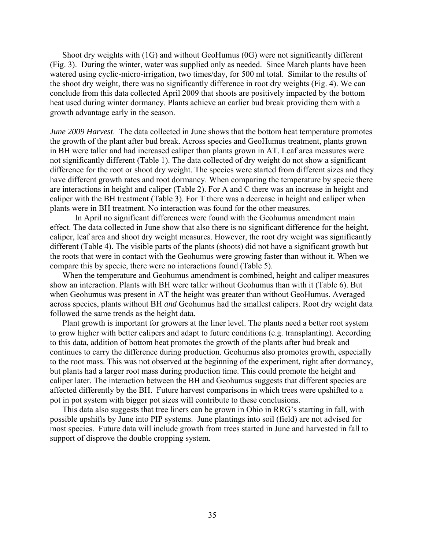Shoot dry weights with (1G) and without GeoHumus (0G) were not significantly different (Fig. 3). During the winter, water was supplied only as needed. Since March plants have been watered using cyclic-micro-irrigation, two times/day, for 500 ml total. Similar to the results of the shoot dry weight, there was no significantly difference in root dry weights (Fig. 4). We can conclude from this data collected April 2009 that shoots are positively impacted by the bottom heat used during winter dormancy. Plants achieve an earlier bud break providing them with a growth advantage early in the season.

*June 2009 Harvest*. The data collected in June shows that the bottom heat temperature promotes the growth of the plant after bud break. Across species and GeoHumus treatment, plants grown in BH were taller and had increased caliper than plants grown in AT. Leaf area measures were not significantly different (Table 1). The data collected of dry weight do not show a significant difference for the root or shoot dry weight. The species were started from different sizes and they have different growth rates and root dormancy. When comparing the temperature by specie there are interactions in height and caliper (Table 2). For A and C there was an increase in height and caliper with the BH treatment (Table 3). For T there was a decrease in height and caliper when plants were in BH treatment. No interaction was found for the other measures.

 In April no significant differences were found with the Geohumus amendment main effect. The data collected in June show that also there is no significant difference for the height, caliper, leaf area and shoot dry weight measures. However, the root dry weight was significantly different (Table 4). The visible parts of the plants (shoots) did not have a significant growth but the roots that were in contact with the Geohumus were growing faster than without it. When we compare this by specie, there were no interactions found (Table 5).

When the temperature and Geohumus amendment is combined, height and caliper measures show an interaction. Plants with BH were taller without Geohumus than with it (Table 6). But when Geohumus was present in AT the height was greater than without GeoHumus. Averaged across species, plants without BH *and* Geohumus had the smallest calipers. Root dry weight data followed the same trends as the height data.

Plant growth is important for growers at the liner level. The plants need a better root system to grow higher with better calipers and adapt to future conditions (e.g. transplanting). According to this data, addition of bottom heat promotes the growth of the plants after bud break and continues to carry the difference during production. Geohumus also promotes growth, especially to the root mass. This was not observed at the beginning of the experiment, right after dormancy, but plants had a larger root mass during production time. This could promote the height and caliper later. The interaction between the BH and Geohumus suggests that different species are affected differently by the BH. Future harvest comparisons in which trees were upshifted to a pot in pot system with bigger pot sizes will contribute to these conclusions.

This data also suggests that tree liners can be grown in Ohio in RRG's starting in fall, with possible upshifts by June into PIP systems. June plantings into soil (field) are not advised for most species. Future data will include growth from trees started in June and harvested in fall to support of disprove the double cropping system.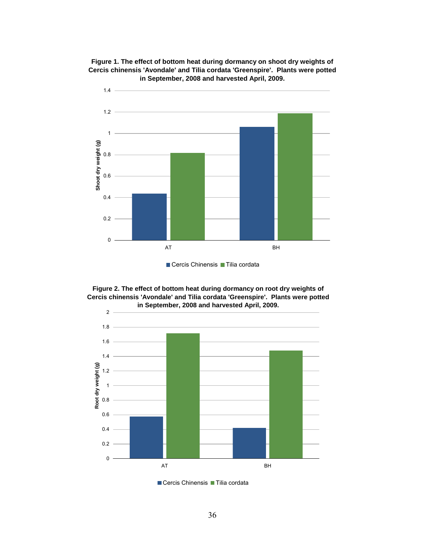

**Figure 1. The effect of bottom heat during dormancy on shoot dry weights of Cercis chinensis 'Avondale' and Tilia cordata 'Greenspire'. Plants were potted in September, 2008 and harvested April, 2009.** 





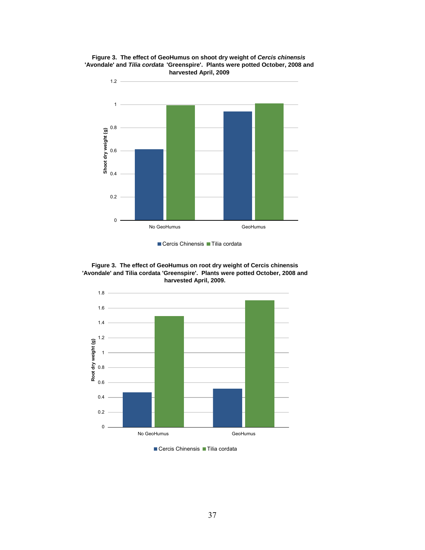

**Figure 3. The effect of GeoHumus on shoot dry weight of** *Cercis chinensis*  **'Avondale' and** *Tilia cordata* **'Greenspire'. Plants were potted October, 2008 and harvested April, 2009**

Cercis Chinensis Tilia cordata

**Figure 3. The effect of GeoHumus on root dry weight of Cercis chinensis 'Avondale' and Tilia cordata 'Greenspire'. Plants were potted October, 2008 and harvested April, 2009.**



Cercis Chinensis Tilia cordata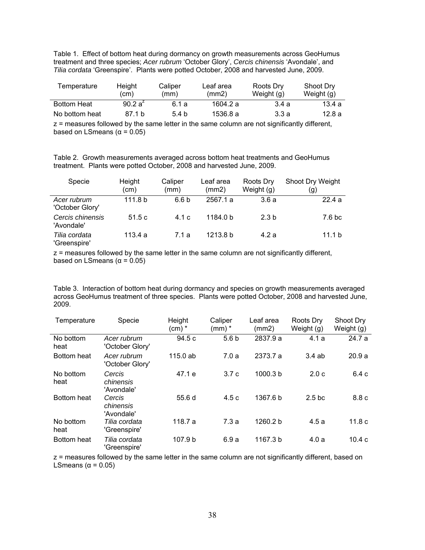Table 1. Effect of bottom heat during dormancy on growth measurements across GeoHumus treatment and three species; *Acer rubrum* 'October Glory', *Cercis chinensis* 'Avondale', and *Tilia cordata* 'Greenspire'. Plants were potted October, 2008 and harvested June, 2009.

| Temperature        | Caliper<br>Height<br>(cm)<br>(mm) |       | Leaf area<br>(mm2) | Roots Dry<br>Weight (g) | Shoot Dry<br>Weight (g) |
|--------------------|-----------------------------------|-------|--------------------|-------------------------|-------------------------|
| <b>Bottom Heat</b> | 90.2 $a^2$                        | 6.1 а | 1604.2 a           | 3.4 a                   | 13.4 a                  |
| No bottom heat     | 87.1 b                            | 5.4h  | 1536.8 a           | 3.3 a                   | 12.8 a                  |

z = measures followed by the same letter in the same column are not significantly different, based on LSmeans ( $α = 0.05$ )

Table 2. Growth measurements averaged across bottom heat treatments and GeoHumus treatment. Plants were potted October, 2008 and harvested June, 2009.

| Specie                         | Height<br>(cm)     | Caliper<br>(mm)  | Leaf area<br>(mm2) | Roots Dry<br>Weight $(q)$ | Shoot Dry Weight<br>(g) |
|--------------------------------|--------------------|------------------|--------------------|---------------------------|-------------------------|
| Acer rubrum<br>'October Glory' | 111.8 <sub>b</sub> | 6.6 <sub>b</sub> | 2567.1 a           | 3.6a                      | 22.4a                   |
| Cercis chinensis<br>'Avondale' | 51.5c              | 4.1c             | 1184.0 b           | 2.3 <sub>b</sub>          | 7.6 <sub>b</sub> c      |
| Tilia cordata<br>'Greenspire'  | 113.4 a            | 7.1 a            | 1213.8 b           | 4.2a                      | 11.1 b                  |

z = measures followed by the same letter in the same column are not significantly different, based on LSmeans ( $α = 0.05$ )

Table 3. Interaction of bottom heat during dormancy and species on growth measurements averaged across GeoHumus treatment of three species. Plants were potted October, 2008 and harvested June, 2009.

| Temperature       | Specie                            | Height<br>$(cm)*$ | Caliper<br>$(mm)$ $*$ | Leaf area<br>(mm2)  | Roots Dry<br>Weight (g) | Shoot Dry<br>Weight (g) |
|-------------------|-----------------------------------|-------------------|-----------------------|---------------------|-------------------------|-------------------------|
| No bottom<br>heat | Acer rubrum<br>'October Glory'    | 94.5 c            | 5.6 <sub>b</sub>      | 2837.9 a            | 4.1a                    | 24.7a                   |
| Bottom heat       | Acer rubrum<br>'October Glory'    | $115.0$ ab        | 7.0a                  | 2373.7 a            | 3.4ab                   | 20.9a                   |
| No bottom<br>heat | Cercis<br>chinensis<br>'Avondale' | 47.1 e            | 3.7c                  | 1000.3 <sub>b</sub> | 2.0 <sub>c</sub>        | 6.4 c                   |
| Bottom heat       | Cercis<br>chinensis<br>'Avondale' | 55.6d             | 4.5c                  | 1367.6 b            | 2.5 <sub>b</sub> c      | 8.8c                    |
| No bottom<br>heat | Tilia cordata<br>'Greenspire'     | 118.7 a           | 7.3a                  | 1260.2 b            | 4.5a                    | 11.8 <sub>c</sub>       |
| Bottom heat       | Tilia cordata<br>'Greenspire'     | 107.9 b           | 6.9a                  | 1167.3 b            | 4.0a                    | 10.4c                   |

z = measures followed by the same letter in the same column are not significantly different, based on LSmeans ( $α = 0.05$ )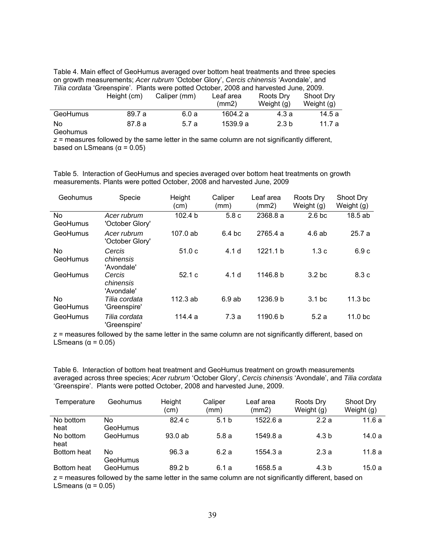Table 4. Main effect of GeoHumus averaged over bottom heat treatments and three species on growth measurements; *Acer rubrum* 'October Glory', *Cercis chinensis* 'Avondale', and *Tilia cordata* 'Greenspire'. Plants were potted October, 2008 and harvested June, 2009.

|                 | Height (cm) | Caliper (mm) | Leaf area<br>(mm2) | Roots Dry<br>Weight (g) | Shoot Drv<br>Weight (g) |
|-----------------|-------------|--------------|--------------------|-------------------------|-------------------------|
| <b>GeoHumus</b> | 89.7 a      | 6.0 a        | 1604.2 a           | 4.3 a                   | 14.5 a                  |
| No              | 87.8 a      | 5.7 a        | 1539.9 a           | 2.3 <sub>b</sub>        | 11.7 a                  |

Geohumus

z = measures followed by the same letter in the same column are not significantly different, based on LSmeans ( $α = 0.05$ )

Table 5. Interaction of GeoHumus and species averaged over bottom heat treatments on growth measurements. Plants were potted October, 2008 and harvested June, 2009

| Geohumus              | Specie                            | Height<br>(cm) | Caliper<br>(mm)   | Leaf area<br>(mm2) | Roots Dry<br>Weight $(g)$ | Shoot Dry<br>Weight $(g)$ |
|-----------------------|-----------------------------------|----------------|-------------------|--------------------|---------------------------|---------------------------|
| No<br>GeoHumus        | Acer rubrum<br>'October Glory'    | 102.4 b        | 5.8c              | 2368.8 a           | 2.6 <sub>b</sub> c        | 18.5ab                    |
| GeoHumus              | Acer rubrum<br>'October Glory'    | $107.0$ ab     | 6.4 <sub>bc</sub> | 2765.4 a           | 4.6 ab                    | 25.7a                     |
| <b>No</b><br>GeoHumus | Cercis<br>chinensis<br>'Avondale' | 51.0c          | 4.1 <sub>d</sub>  | 1221.1 b           | 1.3c                      | 6.9 c                     |
| GeoHumus              | Cercis<br>chinensis<br>'Avondale' | 52.1c          | 4.1 <sub>d</sub>  | 1146.8 b           | 3.2 <sub>bc</sub>         | 8.3 c                     |
| <b>No</b><br>GeoHumus | Tilia cordata<br>'Greenspire'     | 112.3ab        | 6.9ab             | 1236.9 b           | 3.1 <sub>bc</sub>         | 11.3 <sub>b</sub> c       |
| GeoHumus              | Tilia cordata<br>'Greenspire'     | 114.4 a        | 7.3a              | 1190.6 b           | 5.2a                      | 11.0 <sub>bc</sub>        |

z = measures followed by the same letter in the same column are not significantly different, based on LSmeans ( $α = 0.05$ )

Table 6. Interaction of bottom heat treatment and GeoHumus treatment on growth measurements averaged across three species; *Acer rubrum* 'October Glory', *Cercis chinensis* 'Avondale', and *Tilia cordata* 'Greenspire'. Plants were potted October, 2008 and harvested June, 2009.

| Temperature | Geohumus | Height<br>(cm)    | Caliper<br>(mm)  | Leaf area<br>(mm2) | Roots Dry<br>Weight (g) | Shoot Dry<br>Weight (g) |
|-------------|----------|-------------------|------------------|--------------------|-------------------------|-------------------------|
| No bottom   | No       | 82.4c             | 5.1 <sub>b</sub> | 1522.6a            | 2.2a                    | 11.6a                   |
| heat        | GeoHumus |                   |                  |                    |                         |                         |
| No bottom   | GeoHumus | 93.0ab            | 5.8a             | 1549.8 a           | 4.3 b                   | 14.0 a                  |
| heat        |          |                   |                  |                    |                         |                         |
| Bottom heat | No       | 96.3a             | 6.2a             | 1554.3 a           | 2.3a                    | 11.8a                   |
|             | GeoHumus |                   |                  |                    |                         |                         |
| Bottom heat | GeoHumus | 89.2 <sub>b</sub> | 6.1 a            | 1658.5 a           | 4.3 b                   | 15.0a                   |

z = measures followed by the same letter in the same column are not significantly different, based on LSmeans ( $α = 0.05$ )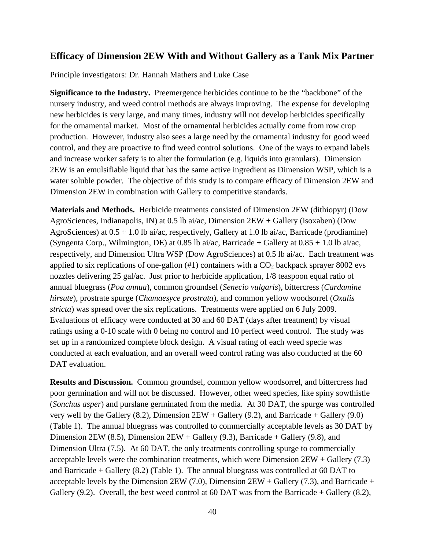## **Efficacy of Dimension 2EW With and Without Gallery as a Tank Mix Partner**

Principle investigators: Dr. Hannah Mathers and Luke Case

**Significance to the Industry.** Preemergence herbicides continue to be the "backbone" of the nursery industry, and weed control methods are always improving. The expense for developing new herbicides is very large, and many times, industry will not develop herbicides specifically for the ornamental market. Most of the ornamental herbicides actually come from row crop production. However, industry also sees a large need by the ornamental industry for good weed control, and they are proactive to find weed control solutions. One of the ways to expand labels and increase worker safety is to alter the formulation (e.g. liquids into granulars). Dimension 2EW is an emulsifiable liquid that has the same active ingredient as Dimension WSP, which is a water soluble powder. The objective of this study is to compare efficacy of Dimension 2EW and Dimension 2EW in combination with Gallery to competitive standards.

**Materials and Methods.** Herbicide treatments consisted of Dimension 2EW (dithiopyr) (Dow AgroSciences, Indianapolis, IN) at 0.5 lb ai/ac, Dimension 2EW + Gallery (isoxaben) (Dow AgroSciences) at 0.5 + 1.0 lb ai/ac, respectively, Gallery at 1.0 lb ai/ac, Barricade (prodiamine) (Syngenta Corp., Wilmington, DE) at 0.85 lb ai/ac, Barricade + Gallery at  $0.85 + 1.0$  lb ai/ac, respectively, and Dimension Ultra WSP (Dow AgroSciences) at 0.5 lb ai/ac. Each treatment was applied to six replications of one-gallon  $(\#1)$  containers with a  $CO<sub>2</sub>$  backpack sprayer 8002 evs nozzles delivering 25 gal/ac. Just prior to herbicide application, 1/8 teaspoon equal ratio of annual bluegrass (*Poa annua*), common groundsel (*Senecio vulgaris*), bittercress (*Cardamine hirsute*), prostrate spurge (*Chamaesyce prostrata*), and common yellow woodsorrel (*Oxalis stricta*) was spread over the six replications. Treatments were applied on 6 July 2009. Evaluations of efficacy were conducted at 30 and 60 DAT (days after treatment) by visual ratings using a 0-10 scale with 0 being no control and 10 perfect weed control. The study was set up in a randomized complete block design. A visual rating of each weed specie was conducted at each evaluation, and an overall weed control rating was also conducted at the 60 DAT evaluation.

**Results and Discussion.** Common groundsel, common yellow woodsorrel, and bittercress had poor germination and will not be discussed. However, other weed species, like spiny sowthistle (*Sonchus asper*) and purslane germinated from the media. At 30 DAT, the spurge was controlled very well by the Gallery (8.2), Dimension 2EW + Gallery (9.2), and Barricade + Gallery (9.0) (Table 1). The annual bluegrass was controlled to commercially acceptable levels as 30 DAT by Dimension 2EW (8.5), Dimension  $2EW +$  Gallery (9.3), Barricade + Gallery (9.8), and Dimension Ultra (7.5). At 60 DAT, the only treatments controlling spurge to commercially acceptable levels were the combination treatments, which were Dimension 2EW + Gallery (7.3) and Barricade  $+$  Gallery (8.2) (Table 1). The annual bluegrass was controlled at 60 DAT to acceptable levels by the Dimension  $2EW$  (7.0), Dimension  $2EW +$  Gallery (7.3), and Barricade + Gallery (9.2). Overall, the best weed control at 60 DAT was from the Barricade + Gallery (8.2),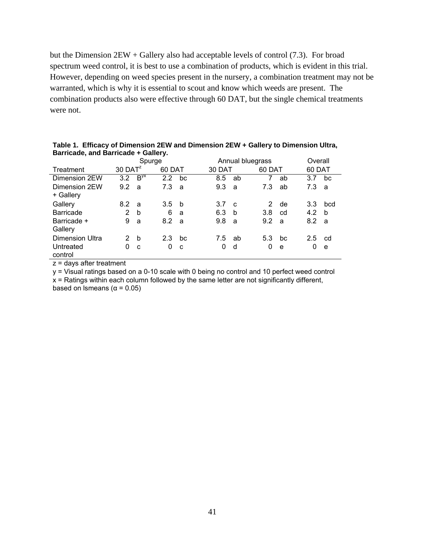but the Dimension 2EW + Gallery also had acceptable levels of control (7.3). For broad spectrum weed control, it is best to use a combination of products, which is evident in this trial. However, depending on weed species present in the nursery, a combination treatment may not be warranted, which is why it is essential to scout and know which weeds are present. The combination products also were effective through 60 DAT, but the single chemical treatments were not.

|                        | Spurge                |          |               |    | Annual bluegrass |              |        |    | Overall |             |
|------------------------|-----------------------|----------|---------------|----|------------------|--------------|--------|----|---------|-------------|
| Treatment              | $30$ DAT <sup>z</sup> |          | 60 DAT        |    | 30 DAT           |              | 60 DAT |    | 60 DAT  |             |
| Dimension 2EW          | 3.2                   | $B^{yx}$ | $2.2^{\circ}$ | bc | 8.5              | ab           | 7      | ab | 3.7     | bc          |
| Dimension 2EW          | 9.2                   | a        | 7.3           | a  | 9.3              | a            | 7.3    | ab | 7.3     | a           |
| + Gallery              |                       |          |               |    |                  |              |        |    |         |             |
| Gallery                | 8.2                   | a        | 3.5           | b  | 3.7              | $\mathbf{c}$ | 2      | de | 3.3     | bcd         |
| <b>Barricade</b>       | $\overline{2}$        | b        | 6             | a  | 6.3              | h            | 3.8    | cd | 4.2     | $\mathbf b$ |
| Barricade +            | 9                     | a        | 8.2           | a  | 9.8              | a            | 9.2    | a  | 8.2     | a           |
| Gallery                |                       |          |               |    |                  |              |        |    |         |             |
| <b>Dimension Ultra</b> | 2                     | b        | 2.3           | bc | 7.5              | ab           | 5.3    | bc | 2.5     | cd          |
| Untreated              | 0                     | C        | 0             | C  | 0                | d            | 0      | e  | 0       | e           |
| control                |                       |          |               |    |                  |              |        |    |         |             |

**Table 1. Efficacy of Dimension 2EW and Dimension 2EW + Gallery to Dimension Ultra, Barricade, and Barricade + Gallery.** 

z = days after treatment

y = Visual ratings based on a 0-10 scale with 0 being no control and 10 perfect weed control

 $x$  = Ratings within each column followed by the same letter are not significantly different,

based on lsmeans ( $α = 0.05$ )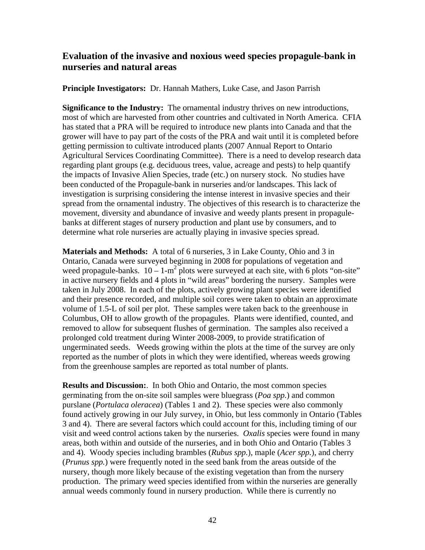## **Evaluation of the invasive and noxious weed species propagule-bank in nurseries and natural areas**

**Principle Investigators:** Dr. Hannah Mathers, Luke Case, and Jason Parrish

**Significance to the Industry:** The ornamental industry thrives on new introductions, most of which are harvested from other countries and cultivated in North America. CFIA has stated that a PRA will be required to introduce new plants into Canada and that the grower will have to pay part of the costs of the PRA and wait until it is completed before getting permission to cultivate introduced plants (2007 Annual Report to Ontario Agricultural Services Coordinating Committee). There is a need to develop research data regarding plant groups (e.g. deciduous trees, value, acreage and pests) to help quantify the impacts of Invasive Alien Species, trade (etc.) on nursery stock. No studies have been conducted of the Propagule-bank in nurseries and/or landscapes. This lack of investigation is surprising considering the intense interest in invasive species and their spread from the ornamental industry. The objectives of this research is to characterize the movement, diversity and abundance of invasive and weedy plants present in propagulebanks at different stages of nursery production and plant use by consumers, and to determine what role nurseries are actually playing in invasive species spread.

**Materials and Methods:** A total of 6 nurseries, 3 in Lake County, Ohio and 3 in Ontario, Canada were surveyed beginning in 2008 for populations of vegetation and weed propagule-banks.  $10 - 1-m^2$  plots were surveyed at each site, with 6 plots "on-site" in active nursery fields and 4 plots in "wild areas" bordering the nursery. Samples were taken in July 2008. In each of the plots, actively growing plant species were identified and their presence recorded, and multiple soil cores were taken to obtain an approximate volume of 1.5-L of soil per plot. These samples were taken back to the greenhouse in Columbus, OH to allow growth of the propagules. Plants were identified, counted, and removed to allow for subsequent flushes of germination. The samples also received a prolonged cold treatment during Winter 2008-2009, to provide stratification of ungerminated seeds. Weeds growing within the plots at the time of the survey are only reported as the number of plots in which they were identified, whereas weeds growing from the greenhouse samples are reported as total number of plants.

**Results and Discussion:**. In both Ohio and Ontario, the most common species germinating from the on-site soil samples were bluegrass (*Poa spp.*) and common purslane (*Portulaca oleracea*) (Tables 1 and 2). These species were also commonly found actively growing in our July survey, in Ohio, but less commonly in Ontario (Tables 3 and 4). There are several factors which could account for this, including timing of our visit and weed control actions taken by the nurseries. *Oxalis* species were found in many areas, both within and outside of the nurseries, and in both Ohio and Ontario (Tables 3 and 4). Woody species including brambles (*Rubus spp.*), maple (*Acer spp.*), and cherry (*Prunus spp.*) were frequently noted in the seed bank from the areas outside of the nursery, though more likely because of the existing vegetation than from the nursery production. The primary weed species identified from within the nurseries are generally annual weeds commonly found in nursery production. While there is currently no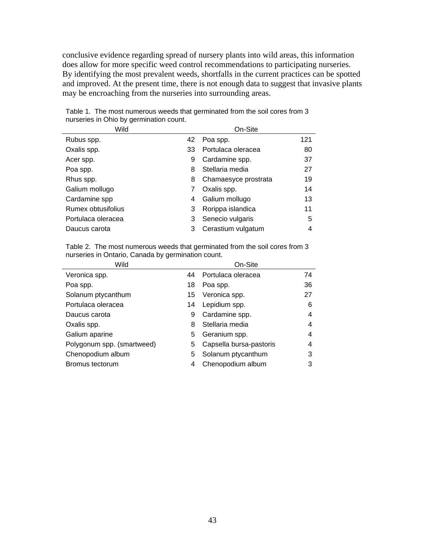conclusive evidence regarding spread of nursery plants into wild areas, this information does allow for more specific weed control recommendations to participating nurseries. By identifying the most prevalent weeds, shortfalls in the current practices can be spotted and improved. At the present time, there is not enough data to suggest that invasive plants may be encroaching from the nurseries into surrounding areas.

| Wild               | On-Site |                      |     |  |
|--------------------|---------|----------------------|-----|--|
| Rubus spp.         | 42      | Poa spp.             | 121 |  |
| Oxalis spp.        | 33      | Portulaca oleracea   | 80  |  |
| Acer spp.          | 9       | Cardamine spp.       | 37  |  |
| Poa spp.           | 8       | Stellaria media      | 27  |  |
| Rhus spp.          | 8       | Chamaesyce prostrata | 19  |  |
| Galium mollugo     |         | Oxalis spp.          | 14  |  |
| Cardamine spp      | 4       | Galium mollugo       | 13  |  |
| Rumex obtusifolius | 3       | Rorippa islandica    | 11  |  |
| Portulaca oleracea | 3       | Senecio vulgaris     | 5   |  |
| Daucus carota      | 3       | Cerastium vulgatum   | 4   |  |

Table 1. The most numerous weeds that germinated from the soil cores from 3 nurseries in Ohio by germination count.

Table 2. The most numerous weeds that germinated from the soil cores from 3 nurseries in Ontario, Canada by germination count.

| Wild                       |    | On-Site                 |    |  |  |  |  |
|----------------------------|----|-------------------------|----|--|--|--|--|
| Veronica spp.              | 44 | Portulaca oleracea      | 74 |  |  |  |  |
| Poa spp.                   | 18 | Poa spp.                | 36 |  |  |  |  |
| Solanum ptycanthum         | 15 | Veronica spp.           | 27 |  |  |  |  |
| Portulaca oleracea         | 14 | Lepidium spp.           | 6  |  |  |  |  |
| Daucus carota              | 9  | Cardamine spp.          | 4  |  |  |  |  |
| Oxalis spp.                | 8  | Stellaria media         | 4  |  |  |  |  |
| Galium aparine             | 5  | Geranium spp.           | 4  |  |  |  |  |
| Polygonum spp. (smartweed) | 5  | Capsella bursa-pastoris | 4  |  |  |  |  |
| Chenopodium album          | 5  | Solanum ptycanthum      | 3  |  |  |  |  |
| Bromus tectorum            | 4  | Chenopodium album       | 3  |  |  |  |  |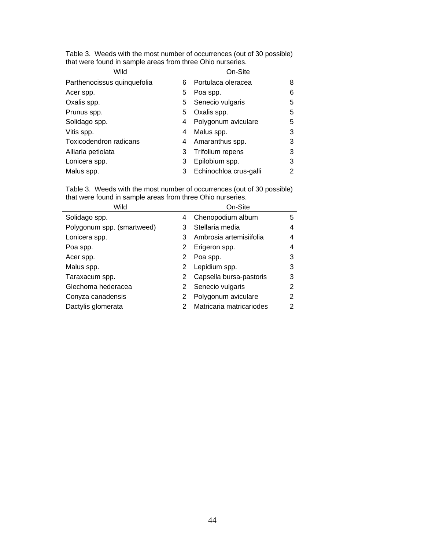| Wild                        | On-Site |                        |   |  |  |  |
|-----------------------------|---------|------------------------|---|--|--|--|
| Parthenocissus quinquefolia | 6       | Portulaca oleracea     | 8 |  |  |  |
| Acer spp.                   | 5       | Poa spp.               | 6 |  |  |  |
| Oxalis spp.                 | 5.      | Senecio vulgaris       | 5 |  |  |  |
| Prunus spp.                 | 5       | Oxalis spp.            | 5 |  |  |  |
| Solidago spp.               | 4       | Polygonum aviculare    | 5 |  |  |  |
| Vitis spp.                  | 4       | Malus spp.             | 3 |  |  |  |
| Toxicodendron radicans      | 4       | Amaranthus spp.        | 3 |  |  |  |
| Alliaria petiolata          | 3       | Trifolium repens       | 3 |  |  |  |
| Lonicera spp.               | 3       | Epilobium spp.         | 3 |  |  |  |
| Malus spp.                  | 3       | Echinochloa crus-galli | 2 |  |  |  |

Table 3. Weeds with the most number of occurrences (out of 30 possible) that were found in sample areas from three Ohio nurseries.

Table 3. Weeds with the most number of occurrences (out of 30 possible) that were found in sample areas from three Ohio nurseries.

| Wild                       |   | On-Site                  |   |  |  |  |  |
|----------------------------|---|--------------------------|---|--|--|--|--|
| Solidago spp.              | 4 | Chenopodium album        | 5 |  |  |  |  |
| Polygonum spp. (smartweed) | 3 | Stellaria media          | 4 |  |  |  |  |
| Lonicera spp.              | 3 | Ambrosia artemisiifolia  | 4 |  |  |  |  |
| Poa spp.                   | 2 | Erigeron spp.            | 4 |  |  |  |  |
| Acer spp.                  | 2 | Poa spp.                 | 3 |  |  |  |  |
| Malus spp.                 | 2 | Lepidium spp.            | 3 |  |  |  |  |
| Taraxacum spp.             | 2 | Capsella bursa-pastoris  | 3 |  |  |  |  |
| Glechoma hederacea         | 2 | Senecio vulgaris         | 2 |  |  |  |  |
| Conyza canadensis          | 2 | Polygonum aviculare      | 2 |  |  |  |  |
| Dactylis glomerata         |   | Matricaria matricariodes | 2 |  |  |  |  |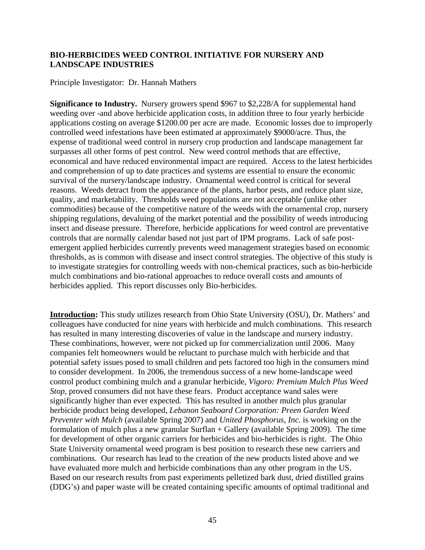### **BIO-HERBICIDES WEED CONTROL INITIATIVE FOR NURSERY AND LANDSCAPE INDUSTRIES**

Principle Investigator: Dr. Hannah Mathers

**Significance to Industry.** Nursery growers spend \$967 to \$2,228/A for supplemental hand weeding over -and above herbicide application costs, in addition three to four yearly herbicide applications costing on average \$1200.00 per acre are made. Economic losses due to improperly controlled weed infestations have been estimated at approximately \$9000/acre. Thus, the expense of traditional weed control in nursery crop production and landscape management far surpasses all other forms of pest control. New weed control methods that are effective, economical and have reduced environmental impact are required. Access to the latest herbicides and comprehension of up to date practices and systems are essential to ensure the economic survival of the nursery/landscape industry. Ornamental weed control is critical for several reasons. Weeds detract from the appearance of the plants, harbor pests, and reduce plant size, quality, and marketability. Thresholds weed populations are not acceptable (unlike other commodities) because of the competitive nature of the weeds with the ornamental crop, nursery shipping regulations, devaluing of the market potential and the possibility of weeds introducing insect and disease pressure. Therefore, herbicide applications for weed control are preventative controls that are normally calendar based not just part of IPM programs. Lack of safe postemergent applied herbicides currently prevents weed management strategies based on economic thresholds, as is common with disease and insect control strategies. The objective of this study is to investigate strategies for controlling weeds with non-chemical practices, such as bio-herbicide mulch combinations and bio-rational approaches to reduce overall costs and amounts of herbicides applied. This report discusses only Bio-herbicides.

**Introduction:** This study utilizes research from Ohio State University (OSU), Dr. Mathers' and colleagues have conducted for nine years with herbicide and mulch combinations. This research has resulted in many interesting discoveries of value in the landscape and nursery industry. These combinations, however, were not picked up for commercialization until 2006. Many companies felt homeowners would be reluctant to purchase mulch with herbicide and that potential safety issues posed to small children and pets factored too high in the consumers mind to consider development. In 2006, the tremendous success of a new home-landscape weed control product combining mulch and a granular herbicide, *Vigoro: Premium Mulch Plus Weed Stop,* proved consumers did not have these fears. Product acceptance wand sales were significantly higher than ever expected. This has resulted in another mulch plus granular herbicide product being developed, *Lebanon Seaboard Corporation: Preen Garden Weed Preventer with Mulch* (available Spring 2007) and *United Phosphorus, Inc.* is working on the formulation of mulch plus a new granular Surflan + Gallery (available Spring 2009). The time for development of other organic carriers for herbicides and bio-herbicides is right. The Ohio State University ornamental weed program is best position to research these new carriers and combinations. Our research has lead to the creation of the new products listed above and we have evaluated more mulch and herbicide combinations than any other program in the US. Based on our research results from past experiments pelletized bark dust, dried distilled grains (DDG's) and paper waste will be created containing specific amounts of optimal traditional and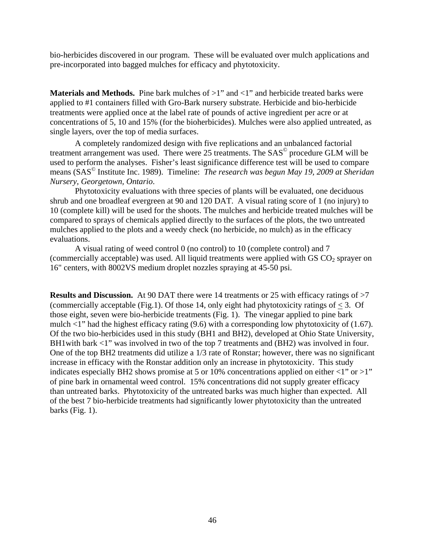bio-herbicides discovered in our program. These will be evaluated over mulch applications and pre-incorporated into bagged mulches for efficacy and phytotoxicity.

**Materials and Methods.** Pine bark mulches of  $>1$ " and  $<1$ " and herbicide treated barks were applied to #1 containers filled with Gro-Bark nursery substrate. Herbicide and bio-herbicide treatments were applied once at the label rate of pounds of active ingredient per acre or at concentrations of 5, 10 and 15% (for the bioherbicides). Mulches were also applied untreated, as single layers, over the top of media surfaces.

A completely randomized design with five replications and an unbalanced factorial treatment arrangement was used. There were 25 treatments. The SAS<sup>©</sup> procedure GLM will be used to perform the analyses. Fisher's least significance difference test will be used to compare means (SAS© Institute Inc. 1989). Timeline: *The research was begun May 19, 2009 at Sheridan Nursery, Georgetown, Ontario*.

Phytotoxicity evaluations with three species of plants will be evaluated, one deciduous shrub and one broadleaf evergreen at 90 and 120 DAT. A visual rating score of 1 (no injury) to 10 (complete kill) will be used for the shoots. The mulches and herbicide treated mulches will be compared to sprays of chemicals applied directly to the surfaces of the plots, the two untreated mulches applied to the plots and a weedy check (no herbicide, no mulch) as in the efficacy evaluations.

A visual rating of weed control 0 (no control) to 10 (complete control) and 7 (commercially acceptable) was used. All liquid treatments were applied with  $GSCO<sub>2</sub>$  sprayer on 16" centers, with 8002VS medium droplet nozzles spraying at 45-50 psi.

**Results and Discussion.** At 90 DAT there were 14 treatments or 25 with efficacy ratings of  $>7$ (commercially acceptable (Fig.1). Of those 14, only eight had phytotoxicity ratings of  $<$  3. Of those eight, seven were bio-herbicide treatments (Fig. 1). The vinegar applied to pine bark mulch  $\langle 1$ " had the highest efficacy rating (9.6) with a corresponding low phytotoxicity of (1.67). Of the two bio-herbicides used in this study (BH1 and BH2), developed at Ohio State University, BH1with bark <1" was involved in two of the top 7 treatments and (BH2) was involved in four. One of the top BH2 treatments did utilize a 1/3 rate of Ronstar; however, there was no significant increase in efficacy with the Ronstar addition only an increase in phytotoxicity. This study indicates especially BH2 shows promise at 5 or 10% concentrations applied on either  $\langle 1$ " or  $>1$ " of pine bark in ornamental weed control. 15% concentrations did not supply greater efficacy than untreated barks. Phytotoxicity of the untreated barks was much higher than expected. All of the best 7 bio-herbicide treatments had significantly lower phytotoxicity than the untreated barks (Fig. 1).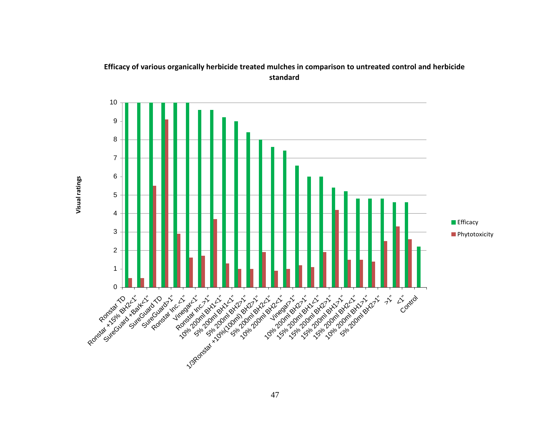

## **Efficacy of various organically herbicide treated mulches in comparison to untreated control and herbicide standard**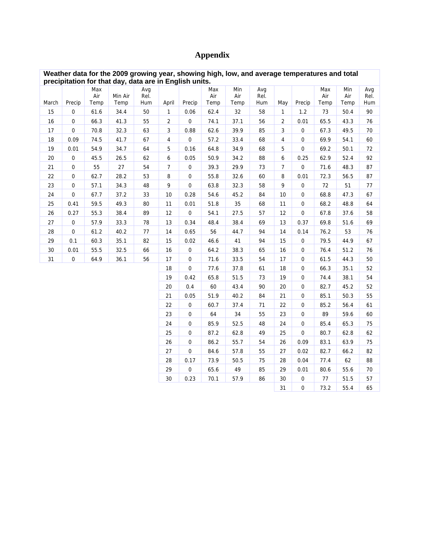# **Appendix**

n.

|       | Weather data for the 2009 growing year, showing high, low, and average temperatures and total<br>precipitation for that day, data are in English units. |                    |                 |                    |                |                     |                    |                    |                    |                |                     |                    |                    |                    |
|-------|---------------------------------------------------------------------------------------------------------------------------------------------------------|--------------------|-----------------|--------------------|----------------|---------------------|--------------------|--------------------|--------------------|----------------|---------------------|--------------------|--------------------|--------------------|
| March | Precip                                                                                                                                                  | Max<br>Air<br>Temp | Min Air<br>Temp | Avg<br>Rel.<br>Hum | April          | Precip              | Max<br>Air<br>Temp | Min<br>Air<br>Temp | Avg<br>Rel.<br>Hum | May            | Precip              | Max<br>Air<br>Temp | Min<br>Air<br>Temp | Avg<br>Rel.<br>Hum |
| 15    | 0                                                                                                                                                       | 61.6               | 34.4            | 50                 | $\mathbf{1}$   | 0.06                | 62.4               | 32                 | 58                 | $\mathbf{1}$   | 1.2                 | 73                 | 50.4               | 90                 |
| 16    | $\overline{0}$                                                                                                                                          | 66.3               | 41.3            | 55                 | $\overline{2}$ | $\mathsf{O}\xspace$ | 74.1               | 37.1               | 56                 | $\overline{2}$ | 0.01                | 65.5               | 43.3               | 76                 |
| 17    | $\mathbf 0$                                                                                                                                             | 70.8               | 32.3            | 63                 | 3              | 0.88                | 62.6               | 39.9               | 85                 | 3              | $\mathbf 0$         | 67.3               | 49.5               | 70                 |
| 18    | 0.09                                                                                                                                                    | 74.5               | 41.7            | 67                 | 4              | $\mathsf{O}\xspace$ | 57.2               | 33.4               | 68                 | 4              | $\mathbf 0$         | 69.9               | 54.1               | 60                 |
| 19    | 0.01                                                                                                                                                    | 54.9               | 34.7            | 64                 | 5              | 0.16                | 64.8               | 34.9               | 68                 | 5              | $\mathbf 0$         | 69.2               | 50.1               | 72                 |
| 20    | $\boldsymbol{0}$                                                                                                                                        | 45.5               | 26.5            | 62                 | 6              | 0.05                | 50.9               | 34.2               | 88                 | 6              | 0.25                | 62.9               | 52.4               | 92                 |
| 21    | $\mathbf 0$                                                                                                                                             | 55                 | 27              | 54                 | $\overline{7}$ | $\mathsf{O}\xspace$ | 39.3               | 29.9               | 73                 | 7              | $\mathsf{O}\xspace$ | 71.6               | 48.3               | 87                 |
| 22    | $\boldsymbol{0}$                                                                                                                                        | 62.7               | 28.2            | 53                 | 8              | $\pmb{0}$           | 55.8               | 32.6               | 60                 | 8              | 0.01                | 72.3               | 56.5               | 87                 |
| 23    | $\boldsymbol{0}$                                                                                                                                        | 57.1               | 34.3            | 48                 | 9              | $\mathsf 0$         | 63.8               | 32.3               | 58                 | 9              | $\mathbf 0$         | 72                 | 51                 | 77                 |
| 24    | 0                                                                                                                                                       | 67.7               | 37.2            | 33                 | 10             | 0.28                | 54.6               | 45.2               | 84                 | 10             | $\pmb{0}$           | 68.8               | 47.3               | 67                 |
| 25    | 0.41                                                                                                                                                    | 59.5               | 49.3            | 80                 | 11             | 0.01                | 51.8               | 35                 | 68                 | 11             | $\mathbf 0$         | 68.2               | 48.8               | 64                 |
| 26    | 0.27                                                                                                                                                    | 55.3               | 38.4            | 89                 | 12             | $\pmb{0}$           | 54.1               | 27.5               | 57                 | 12             | 0                   | 67.8               | 37.6               | 58                 |
| 27    | $\mathbf 0$                                                                                                                                             | 57.9               | 33.3            | 78                 | 13             | 0.34                | 48.4               | 38.4               | 69                 | 13             | 0.37                | 69.8               | 51.6               | 69                 |
| 28    | $\boldsymbol{0}$                                                                                                                                        | 61.2               | 40.2            | 77                 | 14             | 0.65                | 56                 | 44.7               | 94                 | 14             | 0.14                | 76.2               | 53                 | 76                 |
| 29    | 0.1                                                                                                                                                     | 60.3               | 35.1            | 82                 | 15             | 0.02                | 46.6               | 41                 | 94                 | 15             | $\pmb{0}$           | 79.5               | 44.9               | 67                 |
| 30    | 0.01                                                                                                                                                    | 55.5               | 32.5            | 66                 | 16             | $\pmb{0}$           | 64.2               | 38.3               | 65                 | 16             | $\mathbf 0$         | 76.4               | 51.2               | 76                 |
| 31    | $\boldsymbol{0}$                                                                                                                                        | 64.9               | 36.1            | 56                 | 17             | $\pmb{0}$           | 71.6               | 33.5               | 54                 | 17             | 0                   | 61.5               | 44.3               | 50                 |
|       |                                                                                                                                                         |                    |                 |                    | 18             | $\mathsf 0$         | 77.6               | 37.8               | 61                 | 18             | 0                   | 66.3               | 35.1               | 52                 |
|       |                                                                                                                                                         |                    |                 |                    | 19             | 0.42                | 65.8               | 51.5               | 73                 | 19             | $\mathbf 0$         | 74.4               | 38.1               | 54                 |
|       |                                                                                                                                                         |                    |                 |                    | 20             | 0.4                 | 60                 | 43.4               | 90                 | 20             | $\mathbf 0$         | 82.7               | 45.2               | 52                 |
|       |                                                                                                                                                         |                    |                 |                    | 21             | 0.05                | 51.9               | 40.2               | 84                 | 21             | $\pmb{0}$           | 85.1               | 50.3               | 55                 |
|       |                                                                                                                                                         |                    |                 |                    | 22             | $\pmb{0}$           | 60.7               | 37.4               | 71                 | 22             | $\boldsymbol{0}$    | 85.2               | 56.4               | 61                 |
|       |                                                                                                                                                         |                    |                 |                    | 23             | $\pmb{0}$           | 64                 | 34                 | 55                 | 23             | 0                   | 89                 | 59.6               | 60                 |
|       |                                                                                                                                                         |                    |                 |                    | 24             | $\pmb{0}$           | 85.9               | 52.5               | 48                 | 24             | $\mathbf 0$         | 85.4               | 65.3               | 75                 |
|       |                                                                                                                                                         |                    |                 |                    | 25             | 0                   | 87.2               | 62.8               | 49                 | 25             | $\pmb{0}$           | 80.7               | 62.8               | 62                 |
|       |                                                                                                                                                         |                    |                 |                    | 26             | 0                   | 86.2               | 55.7               | 54                 | 26             | 0.09                | 83.1               | 63.9               | 75                 |
|       |                                                                                                                                                         |                    |                 |                    | 27             | $\overline{0}$      | 84.6               | 57.8               | 55                 | 27             | 0.02                | 82.7               | 66.2               | 82                 |
|       |                                                                                                                                                         |                    |                 |                    | 28             | 0.17                | 73.9               | 50.5               | 75                 | 28             | 0.04                | 77.4               | 62                 | 88                 |
|       |                                                                                                                                                         |                    |                 |                    | 29             | $\mathsf{O}\xspace$ | 65.6               | 49                 | 85                 | 29             | 0.01                | 80.6               | 55.6               | 70                 |
|       |                                                                                                                                                         |                    |                 |                    | 30             | 0.23                | 70.1               | 57.9               | 86                 | 30             | $\pmb{0}$           | $77 \,$            | 51.5               | 57                 |
|       |                                                                                                                                                         |                    |                 |                    |                |                     |                    |                    |                    | 31             | 0                   | 73.2               | 55.4               | 65                 |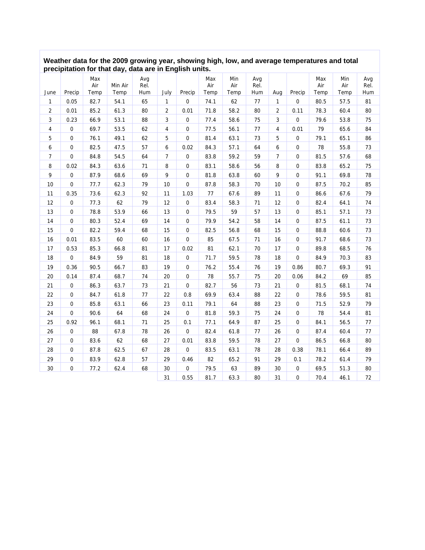#### **Weather data for the 2009 growing year, showing high, low, and average temperatures and total precipitation for that day, data are in English units.**

| June           | Precip         | Max<br>Air<br>Temp | Min Air<br>Temp | Avg<br>Rel.<br>Hum | July           | Precip              | Max<br>Air<br>Temp | Min<br>Air<br>Temp | Avg<br>Rel.<br>Hum | Aug            | Precip              | Max<br>Air<br>Temp | Min<br>Air<br>Temp | Avg<br>Rel.<br>Hum |
|----------------|----------------|--------------------|-----------------|--------------------|----------------|---------------------|--------------------|--------------------|--------------------|----------------|---------------------|--------------------|--------------------|--------------------|
| 1              | 0.05           | 82.7               | 54.1            | 65                 | $\mathbf{1}$   | $\pmb{0}$           | 74.1               | 62                 | $77 \,$            | $\mathbf{1}$   | 0                   | 80.5               | 57.5               | 81                 |
| 2              | 0.01           | 85.2               | 61.3            | 80                 | $\overline{2}$ | 0.01                | 71.8               | 58.2               | 80                 | $\overline{2}$ | 0.11                | 78.3               | 60.4               | 80                 |
| 3              | 0.23           | 66.9               | 53.1            | 88                 | 3              | $\pmb{0}$           | 77.4               | 58.6               | 75                 | 3              | $\mathsf{O}\xspace$ | 79.6               | 53.8               | 75                 |
| 4              | 0              | 69.7               | 53.5            | 62                 | 4              | $\mathbf 0$         | 77.5               | 56.1               | 77                 | $\overline{4}$ | 0.01                | 79                 | 65.6               | 84                 |
| 5              | 0              | 76.1               | 49.1            | 62                 | 5              | $\pmb{0}$           | 81.4               | 63.1               | 73                 | 5              | $\mathsf{O}\xspace$ | 79.1               | 65.1               | 86                 |
| 6              | 0              | 82.5               | 47.5            | 57                 | 6              | 0.02                | 84.3               | 57.1               | 64                 | 6              | $\pmb{0}$           | 78                 | 55.8               | 73                 |
| $\overline{7}$ | 0              | 84.8               | 54.5            | 64                 | $\overline{7}$ | $\mathbf 0$         | 83.8               | 59.2               | 59                 | $\overline{7}$ | $\mathbf 0$         | 81.5               | 57.6               | 68                 |
| 8              | 0.02           | 84.3               | 63.6            | 71                 | 8              | $\mathbf 0$         | 83.1               | 58.6               | 56                 | 8              | $\pmb{0}$           | 83.8               | 65.2               | 75                 |
| 9              | 0              | 87.9               | 68.6            | 69                 | 9              | $\pmb{0}$           | 81.8               | 63.8               | 60                 | 9              | $\pmb{0}$           | 91.1               | 69.8               | 78                 |
| 10             | 0              | 77.7               | 62.3            | 79                 | 10             | $\pmb{0}$           | 87.8               | 58.3               | 70                 | 10             | $\pmb{0}$           | 87.5               | 70.2               | 85                 |
| 11             | 0.35           | 73.6               | 62.3            | 92                 | 11             | 1.03                | 77                 | 67.6               | 89                 | 11             | $\pmb{0}$           | 86.6               | 67.6               | 79                 |
| 12             | 0              | 77.3               | 62              | 79                 | 12             | $\mathbf 0$         | 83.4               | 58.3               | 71                 | 12             | $\mathbf 0$         | 82.4               | 64.1               | 74                 |
| 13             | $\overline{0}$ | 78.8               | 53.9            | 66                 | 13             | $\mathbf 0$         | 79.5               | 59                 | 57                 | 13             | $\mathbf{0}$        | 85.1               | 57.1               | 73                 |
| 14             | 0              | 80.3               | 52.4            | 69                 | 14             | $\pmb{0}$           | 79.9               | 54.2               | 58                 | 14             | $\pmb{0}$           | 87.5               | 61.1               | 73                 |
| 15             | $\mathsf 0$    | 82.2               | 59.4            | 68                 | 15             | $\pmb{0}$           | 82.5               | 56.8               | 68                 | 15             | $\pmb{0}$           | 88.8               | 60.6               | 73                 |
| 16             | 0.01           | 83.5               | 60              | 60                 | 16             | $\mathbf 0$         | 85                 | 67.5               | 71                 | 16             | $\mathsf{O}\xspace$ | 91.7               | 68.6               | 73                 |
| 17             | 0.53           | 85.3               | 66.8            | 81                 | 17             | 0.02                | 81                 | 62.1               | 70                 | 17             | $\mathbf 0$         | 89.8               | 68.5               | 76                 |
| 18             | $\mathsf 0$    | 84.9               | 59              | 81                 | 18             | $\mathsf{O}\xspace$ | 71.7               | 59.5               | 78                 | 18             | $\mathbf 0$         | 84.9               | 70.3               | 83                 |
| 19             | 0.36           | 90.5               | 66.7            | 83                 | 19             | $\pmb{0}$           | 76.2               | 55.4               | 76                 | 19             | 0.86                | 80.7               | 69.3               | 91                 |
| 20             | 0.14           | 87.4               | 68.7            | 74                 | 20             | $\pmb{0}$           | 78                 | 55.7               | 75                 | 20             | 0.06                | 84.2               | 69                 | 85                 |
| 21             | 0              | 86.3               | 63.7            | 73                 | 21             | $\pmb{0}$           | 82.7               | 56                 | 73                 | 21             | $\mathsf{O}\xspace$ | 81.5               | 68.1               | 74                 |
| 22             | 0              | 84.7               | 61.8            | 77                 | 22             | 0.8                 | 69.9               | 63.4               | 88                 | 22             | $\mathbf{0}$        | 78.6               | 59.5               | 81                 |
| 23             | 0              | 85.8               | 63.1            | 66                 | 23             | 0.11                | 79.1               | 64                 | 88                 | 23             | $\pmb{0}$           | 71.5               | 52.9               | 79                 |
| 24             | $\overline{0}$ | 90.6               | 64              | 68                 | 24             | $\mathbf 0$         | 81.8               | 59.3               | 75                 | 24             | $\pmb{0}$           | 78                 | 54.4               | 81                 |
| 25             | 0.92           | 96.1               | 68.1            | 71                 | 25             | 0.1                 | 77.1               | 64.9               | 87                 | 25             | $\pmb{0}$           | 84.1               | 56.5               | $77 \,$            |
| 26             | $\mathsf 0$    | 88                 | 67.8            | 78                 | 26             | $\pmb{0}$           | 82.4               | 61.8               | 77                 | 26             | $\pmb{0}$           | 87.4               | 60.4               | 77                 |
| 27             | 0              | 83.6               | 62              | 68                 | 27             | 0.01                | 83.8               | 59.5               | 78                 | 27             | $\mathsf{O}\xspace$ | 86.5               | 66.8               | 80                 |
| 28             | $\mathsf 0$    | 87.8               | 62.5            | 67                 | 28             | $\mathbf 0$         | 83.5               | 63.1               | 78                 | 28             | 0.38                | 78.1               | 66.4               | 89                 |
| 29             | 0              | 83.9               | 62.8            | 57                 | 29             | 0.46                | 82                 | 65.2               | 91                 | 29             | 0.1                 | 78.2               | 61.4               | 79                 |
| 30             | 0              | 77.2               | 62.4            | 68                 | 30             | $\mathbf 0$         | 79.5               | 63                 | 89                 | 30             | $\mathsf{O}\xspace$ | 69.5               | 51.3               | 80                 |
|                |                |                    |                 |                    | 31             | 0.55                | 81.7               | 63.3               | 80                 | 31             | $\mathsf{O}\xspace$ | 70.4               | 46.1               | 72                 |